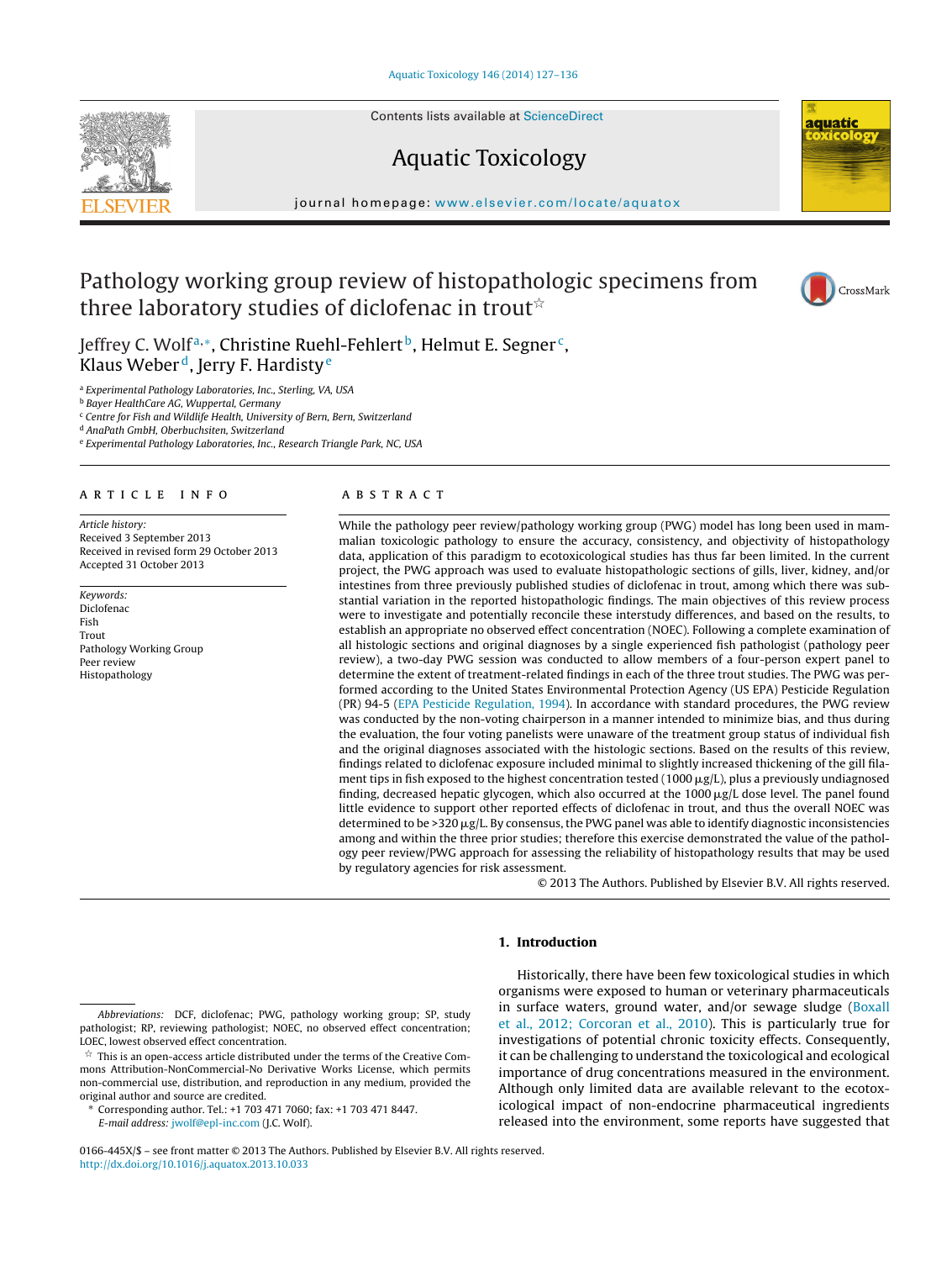Contents lists available at [ScienceDirect](http://www.sciencedirect.com/science/journal/0166445X)

# Aquatic Toxicology

jour nal home page: [www.elsevier.com/locate/aquatox](http://www.elsevier.com/locate/aquatox)

## Pathology working group review of histopathologic specimens from three laboratory studies of diclofenac in trout $^{\scriptscriptstyle\mathrm{st}}$

Jeffrey C. Wolf<sup>a,∗</sup>, Christine Ruehl-Fehlert<sup>b</sup>, Helmut E. Segner<sup>c</sup>, Klaus Weber<sup>d</sup>, Jerry F. Hardisty<sup>e</sup>

<sup>a</sup> Experimental Pathology Laboratories, Inc., Sterling, VA, USA

<sup>b</sup> Bayer HealthCare AG, Wuppertal, Germany

<sup>c</sup> Centre for Fish and Wildlife Health, University of Bern, Bern, Switzerland

<sup>d</sup> AnaPath GmbH, Oberbuchsiten, Switzerland

<sup>e</sup> Experimental Pathology Laboratories, Inc., Research Triangle Park, NC, USA

## a r t i c l e i n f o

Article history: Received 3 September 2013 Received in revised form 29 October 2013 Accepted 31 October 2013

Keywords: Diclofenac Fish Trout Pathology Working Group Peer review **Histopathology** 

## A B S T R A C T

While the pathology peer review/pathology working group (PWG) model has long been used in mammalian toxicologic pathology to ensure the accuracy, consistency, and objectivity of histopathology data, application of this paradigm to ecotoxicological studies has thus far been limited. In the current project, the PWG approach was used to evaluate histopathologic sections of gills, liver, kidney, and/or intestines from three previously published studies of diclofenac in trout, among which there was substantial variation in the reported histopathologic findings. The main objectives of this review process were to investigate and potentially reconcile these interstudy differences, and based on the results, to establish an appropriate no observed effect concentration (NOEC). Following a complete examination of all histologic sections and original diagnoses by a single experienced fish pathologist (pathology peer review), a two-day PWG session was conducted to allow members of a four-person expert panel to determine the extent of treatment-related findings in each of the three trout studies. The PWG was performed according to the United States Environmental Protection Agency (US EPA) Pesticide Regulation (PR) 94-5 ([EPA](#page-9-0) [Pesticide](#page-9-0) [Regulation,](#page-9-0) [1994\).](#page-9-0) In accordance with standard procedures, the PWG review was conducted by the non-voting chairperson in a manner intended to minimize bias, and thus during the evaluation, the four voting panelists were unaware of the treatment group status of individual fish and the original diagnoses associated with the histologic sections. Based on the results of this review, findings related to diclofenac exposure included minimal to slightly increased thickening of the gill filament tips in fish exposed to the highest concentration tested (1000  $\mu$ g/L), plus a previously undiagnosed finding, decreased hepatic glycogen, which also occurred at the 1000  $\mu$ g/L dose level. The panel found little evidence to support other reported effects of diclofenac in trout, and thus the overall NOEC was determined to be >320  $\mu$ g/L. By consensus, the PWG panel was able to identify diagnostic inconsistencies among and within the three prior studies; therefore this exercise demonstrated the value of the pathology peer review/PWG approach for assessing the reliability of histopathology results that may be used by regulatory agencies for risk assessment.

© 2013 The Authors. Published by Elsevier B.V. All rights reserved.

## **1. Introduction**

0166-445X/\$ – see front matter © 2013 The Authors. Published by Elsevier B.V. All rights reserved. [http://dx.doi.org/10.1016/j.aquatox.2013.10.033](dx.doi.org/10.1016/j.aquatox.2013.10.033)

Historically, there have been few toxicological studies in which organisms were exposed to human or veterinary pharmaceuticals in surface waters, ground water, and/or sewage sludge [\(Boxall](#page-9-0) et [al.,](#page-9-0) [2012;](#page-9-0) [Corcoran](#page-9-0) et [al.,](#page-9-0) [2010\).](#page-9-0) This is particularly true for investigations of potential chronic toxicity effects. Consequently, it can be challenging to understand the toxicological and ecological importance of drug concentrations measured in the environment. Although only limited data are available relevant to the ecotoxicological impact of non-endocrine pharmaceutical ingredients released into the environment, some reports have suggested that







Abbreviations: DCF, diclofenac; PWG, pathology working group; SP, study pathologist; RP, reviewing pathologist; NOEC, no observed effect concentration; LOEC, lowest observed effect concentration.

 $\mathrm{\acute{e}t}$  This is an open-access article distributed under the terms of the Creative Commons Attribution-NonCommercial-No Derivative Works License, which permits non-commercial use, distribution, and reproduction in any medium, provided the original author and source are credited.

<sup>∗</sup> Corresponding author. Tel.: +1 703 471 7060; fax: +1 703 471 8447. E-mail address: [jwolf@epl-inc.com](mailto:jwolf@epl-inc.com) (J.C. Wolf).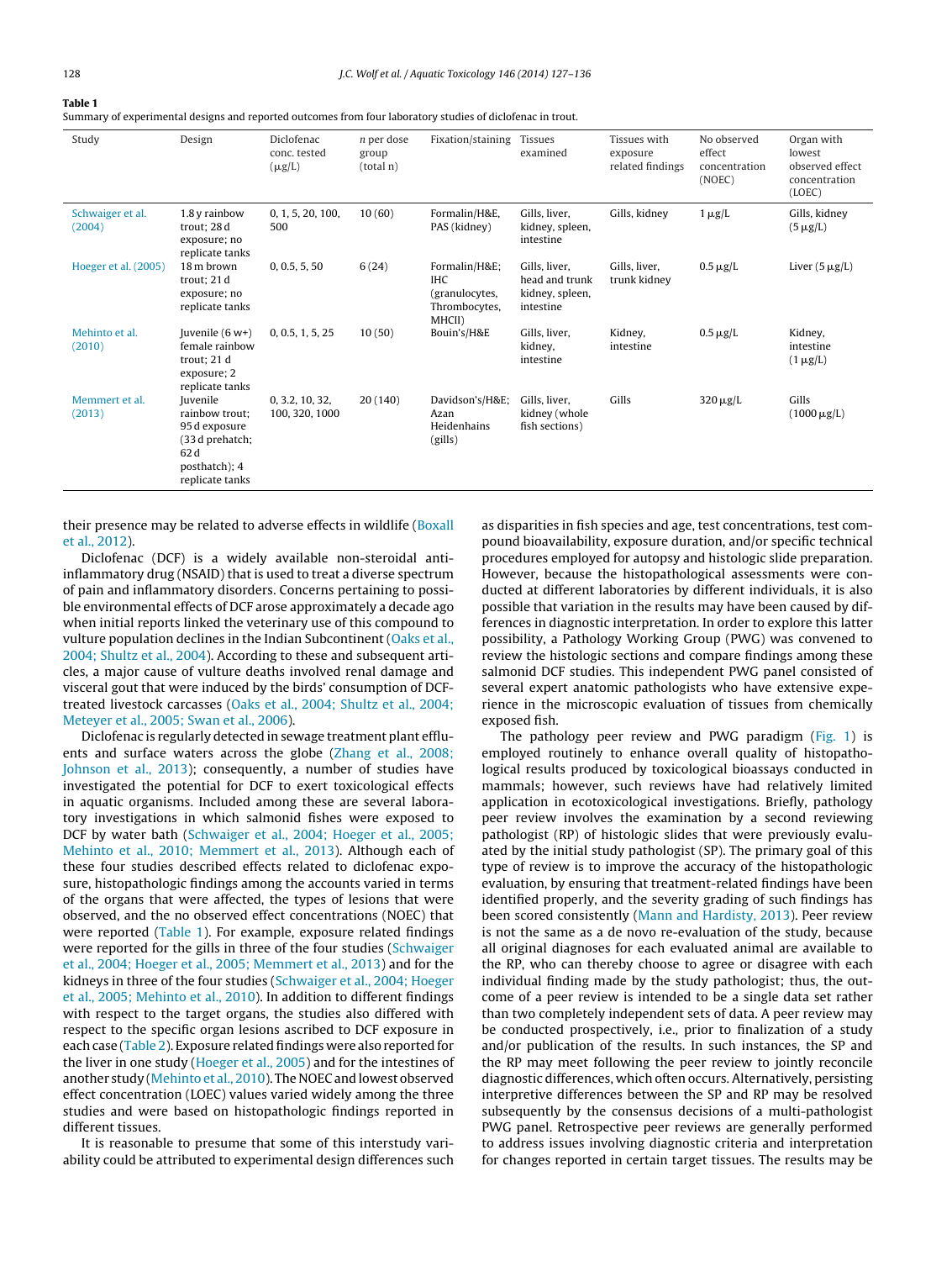<span id="page-1-0"></span>Summary of experimental designs and reported outcomes from four laboratory studies of diclofenac in trout.

| Study                      | Design                                                                                                     | Diclofenac<br>conc. tested<br>$(\mu g/L)$ | <i>n</i> per dose<br>group<br>(total n) | Fixation/staining                                                       | Tissues<br>examined                                             | Tissues with<br>exposure<br>related findings | No observed<br>effect<br>concentration<br>(NOEC) | Organ with<br>lowest<br>observed effect<br>concentration<br>(LOEC) |
|----------------------------|------------------------------------------------------------------------------------------------------------|-------------------------------------------|-----------------------------------------|-------------------------------------------------------------------------|-----------------------------------------------------------------|----------------------------------------------|--------------------------------------------------|--------------------------------------------------------------------|
| Schwaiger et al.<br>(2004) | 1.8 y rainbow<br>trout; 28 d<br>exposure; no<br>replicate tanks                                            | 0, 1, 5, 20, 100,<br>500                  | 10(60)                                  | Formalin/H&E,<br>PAS (kidney)                                           | Gills, liver,<br>kidney, spleen,<br>intestine                   | Gills, kidney                                | $1 \mu g/L$                                      | Gills, kidney<br>$(5 \mu g/L)$                                     |
| Hoeger et al. (2005)       | 18 <sub>m</sub> brown<br>trout; 21d<br>exposure; no<br>replicate tanks                                     | 0, 0.5, 5, 50                             | 6(24)                                   | Formalin/H&E<br><b>IHC</b><br>(granulocytes,<br>Thrombocytes,<br>MHCII) | Gills, liver,<br>head and trunk<br>kidney, spleen,<br>intestine | Gills, liver,<br>trunk kidney                | $0.5 \mu g/L$                                    | Liver $(5 \mu g/L)$                                                |
| Mehinto et al.<br>(2010)   | Juvenile $(6 w+)$<br>female rainbow<br>trout; $21 d$<br>exposure; 2<br>replicate tanks                     | 0, 0.5, 1, 5, 25                          | 10(50)                                  | Bouin's/H&E                                                             | Gills, liver,<br>kidney,<br>intestine                           | Kidney,<br>intestine                         | $0.5 \mu g/L$                                    | Kidney,<br>intestine<br>$(1 \mu g/L)$                              |
| Memmert et al.<br>(2013)   | Juvenile<br>rainbow trout:<br>95 d exposure<br>(33 d prehatch;<br>62 d<br>posthatch); 4<br>replicate tanks | 0, 3.2, 10, 32,<br>100, 320, 1000         | 20(140)                                 | Davidson's/H&E<br>Azan<br>Heidenhains<br>(gills)                        | Gills, liver.<br>kidney (whole<br>fish sections)                | Gills                                        | $320 \mu g/L$                                    | Gills<br>$(1000 \,\mu g/L)$                                        |

their presence may be related to adverse effects in wildlife ([Boxall](#page-9-0) et [al.,](#page-9-0) [2012\).](#page-9-0)

Diclofenac (DCF) is a widely available non-steroidal antiinflammatory drug (NSAID) that is used to treat a diverse spectrum of pain and inflammatory disorders. Concerns pertaining to possible environmental effects of DCF arose approximately a decade ago when initial reports linked the veterinary use of this compound to vulture population declines in the Indian Subcontinent [\(Oaks](#page-9-0) et [al.,](#page-9-0) [2004;](#page-9-0) [Shultz](#page-9-0) et [al.,](#page-9-0) [2004\).](#page-9-0) According to these and subsequent articles, a major cause of vulture deaths involved renal damage and visceral gout that were induced by the birds' consumption of DCFtreated livestock carcasses [\(Oaks](#page-9-0) et [al.,](#page-9-0) [2004;](#page-9-0) [Shultz](#page-9-0) et [al.,](#page-9-0) [2004;](#page-9-0) [Meteyer](#page-9-0) et [al.,](#page-9-0) [2005;](#page-9-0) [Swan](#page-9-0) et [al.,](#page-9-0) [2006\).](#page-9-0)

Diclofenac is regularly detected in sewage treatment plant effluents and surface waters across the globe ([Zhang](#page-9-0) et [al.,](#page-9-0) [2008;](#page-9-0) [Johnson](#page-9-0) et [al.,](#page-9-0) [2013\);](#page-9-0) consequently, a number of studies have investigated the potential for DCF to exert toxicological effects in aquatic organisms. Included among these are several laboratory investigations in which salmonid fishes were exposed to DCF by water bath [\(Schwaiger](#page-9-0) et [al.,](#page-9-0) [2004;](#page-9-0) [Hoeger](#page-9-0) et [al.,](#page-9-0) [2005;](#page-9-0) [Mehinto](#page-9-0) et [al.,](#page-9-0) [2010;](#page-9-0) [Memmert](#page-9-0) et [al.,](#page-9-0) [2013\).](#page-9-0) Although each of these four studies described effects related to diclofenac exposure, histopathologic findings among the accounts varied in terms of the organs that were affected, the types of lesions that were observed, and the no observed effect concentrations (NOEC) that were reported (Table 1). For example, exposure related findings were reported for the gills in three of the four studies ([Schwaiger](#page-9-0) et [al.,](#page-9-0) [2004;](#page-9-0) [Hoeger](#page-9-0) et [al.,](#page-9-0) [2005;](#page-9-0) [Memmert](#page-9-0) et [al.,](#page-9-0) [2013\)](#page-9-0) and for the kidneys in three of the four studies ([Schwaiger](#page-9-0) et [al.,](#page-9-0) [2004;](#page-9-0) [Hoeger](#page-9-0) et [al.,](#page-9-0) [2005;](#page-9-0) [Mehinto](#page-9-0) et [al.,](#page-9-0) [2010\).](#page-9-0) In addition to different findings with respect to the target organs, the studies also differed with respect to the specific organ lesions ascribed to DCF exposure in each case [\(Table](#page-2-0) 2). Exposure related findings were also reported for the liver in one study [\(Hoeger](#page-9-0) et [al.,](#page-9-0) [2005\)](#page-9-0) and for the intestines of another study ([Mehinto](#page-9-0) et [al.,](#page-9-0) [2010\).](#page-9-0) The NOEC and lowest observed effect concentration (LOEC) values varied widely among the three studies and were based on histopathologic findings reported in different tissues.

It is reasonable to presume that some of this interstudy variability could be attributed to experimental design differences such as disparities in fish species and age, test concentrations, test compound bioavailability, exposure duration, and/or specific technical procedures employed for autopsy and histologic slide preparation. However, because the histopathological assessments were conducted at different laboratories by different individuals, it is also possible that variation in the results may have been caused by differences in diagnostic interpretation. In order to explore this latter possibility, a Pathology Working Group (PWG) was convened to review the histologic sections and compare findings among these salmonid DCF studies. This independent PWG panel consisted of several expert anatomic pathologists who have extensive experience in the microscopic evaluation of tissues from chemically exposed fish.

The pathology peer review and PWG paradigm [\(Fig.](#page-2-0) 1) is employed routinely to enhance overall quality of histopathological results produced by toxicological bioassays conducted in mammals; however, such reviews have had relatively limited application in ecotoxicological investigations. Briefly, pathology peer review involves the examination by a second reviewing pathologist (RP) of histologic slides that were previously evaluated by the initial study pathologist (SP). The primary goal of this type of review is to improve the accuracy of the histopathologic evaluation, by ensuring that treatment-related findings have been identified properly, and the severity grading of such findings has been scored consistently ([Mann](#page-9-0) [and](#page-9-0) [Hardisty,](#page-9-0) [2013\).](#page-9-0) Peer review is not the same as a de novo re-evaluation of the study, because all original diagnoses for each evaluated animal are available to the RP, who can thereby choose to agree or disagree with each individual finding made by the study pathologist; thus, the outcome of a peer review is intended to be a single data set rather than two completely independent sets of data. A peer review may be conducted prospectively, i.e., prior to finalization of a study and/or publication of the results. In such instances, the SP and the RP may meet following the peer review to jointly reconcile diagnostic differences, which often occurs. Alternatively, persisting interpretive differences between the SP and RP may be resolved subsequently by the consensus decisions of a multi-pathologist PWG panel. Retrospective peer reviews are generally performed to address issues involving diagnostic criteria and interpretation for changes reported in certain target tissues. The results may be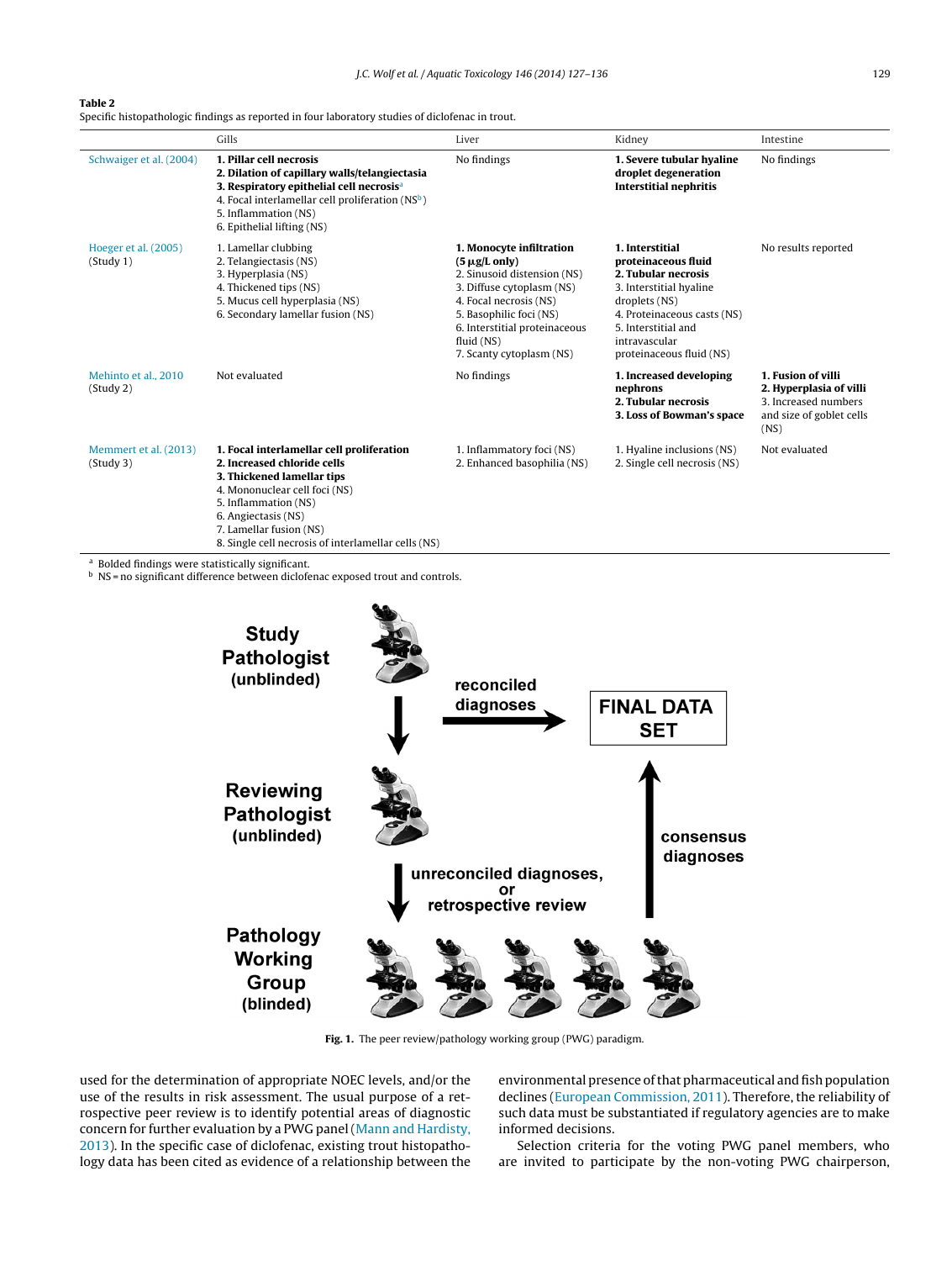<span id="page-2-0"></span>Specific histopathologic findings as reported in four laboratory studies of diclofenac in trout.

|                                    | Gills                                                                                                                                                                                                                                        | Liver                                                                                                                                                                                                                                       | Kidney                                                                                                                                                                                                       | Intestine                                                                                                 |  |  |
|------------------------------------|----------------------------------------------------------------------------------------------------------------------------------------------------------------------------------------------------------------------------------------------|---------------------------------------------------------------------------------------------------------------------------------------------------------------------------------------------------------------------------------------------|--------------------------------------------------------------------------------------------------------------------------------------------------------------------------------------------------------------|-----------------------------------------------------------------------------------------------------------|--|--|
| Schwaiger et al. (2004)            | 1. Pillar cell necrosis<br>2. Dilation of capillary walls/telangiectasia<br>3. Respiratory epithelial cell necrosis <sup>a</sup><br>4. Focal interlamellar cell proliferation $(NS^b)$<br>5. Inflammation (NS)<br>6. Epithelial lifting (NS) | No findings                                                                                                                                                                                                                                 | 1. Severe tubular hyaline<br>droplet degeneration<br><b>Interstitial nephritis</b>                                                                                                                           | No findings                                                                                               |  |  |
| Hoeger et al. (2005)<br>(Study 1)  | 1. Lamellar clubbing<br>2. Telangiectasis (NS)<br>3. Hyperplasia (NS)<br>4. Thickened tips (NS)<br>5. Mucus cell hyperplasia (NS)<br>6. Secondary lamellar fusion (NS)                                                                       | 1. Monocyte infiltration<br>$(5 \mu g/L)$ only)<br>2. Sinusoid distension (NS)<br>3. Diffuse cytoplasm (NS)<br>4. Focal necrosis (NS)<br>5. Basophilic foci (NS)<br>6. Interstitial proteinaceous<br>fluid (NS)<br>7. Scanty cytoplasm (NS) | 1. Interstitial<br>proteinaceous fluid<br>2. Tubular necrosis<br>3. Interstitial hyaline<br>droplets (NS)<br>4. Proteinaceous casts (NS)<br>5. Interstitial and<br>intravascular<br>proteinaceous fluid (NS) | No results reported                                                                                       |  |  |
| Mehinto et al., 2010<br>(Study 2)  | Not evaluated                                                                                                                                                                                                                                | No findings                                                                                                                                                                                                                                 | 1. Increased developing<br>nephrons<br>2. Tubular necrosis<br>3. Loss of Bowman's space                                                                                                                      | 1. Fusion of villi<br>2. Hyperplasia of villi<br>3. Increased numbers<br>and size of goblet cells<br>(NS) |  |  |
| Memmert et al. (2013)<br>(Study 3) | 1. Focal interlamellar cell proliferation<br>2. Increased chloride cells<br>3. Thickened lamellar tips<br>4. Mononuclear cell foci (NS)<br>5. Inflammation (NS)<br>6. Angiectasis (NS)<br>7. Lamellar fusion (NS)                            | 1. Inflammatory foci (NS)<br>2. Enhanced basophilia (NS)                                                                                                                                                                                    | 1. Hyaline inclusions (NS)<br>2. Single cell necrosis (NS)                                                                                                                                                   | Not evaluated                                                                                             |  |  |

<sup>a</sup> Bolded findings were statistically significant.

b NS = no significant difference between diclofenac exposed trout and controls.

8. Single cell necrosis of interlamellar cells (NS)



**Fig. 1.** The peer review/pathology working group (PWG) paradigm.

used for the determination of appropriate NOEC levels, and/or the use of the results in risk assessment. The usual purpose of a retrospective peer review is to identify potential areas of diagnostic concern for further evaluation by a PWG panel[\(Mann](#page-9-0) [and](#page-9-0) [Hardisty,](#page-9-0) [2013\).](#page-9-0) In the specific case of diclofenac, existing trout histopathology data has been cited as evidence of a relationship between the environmental presence of that pharmaceutical and fish population declines [\(European](#page-9-0) [Commission,](#page-9-0) [2011\).](#page-9-0) Therefore, the reliability of such data must be substantiated if regulatory agencies are to make informed decisions.

Selection criteria for the voting PWG panel members, who are invited to participate by the non-voting PWG chairperson,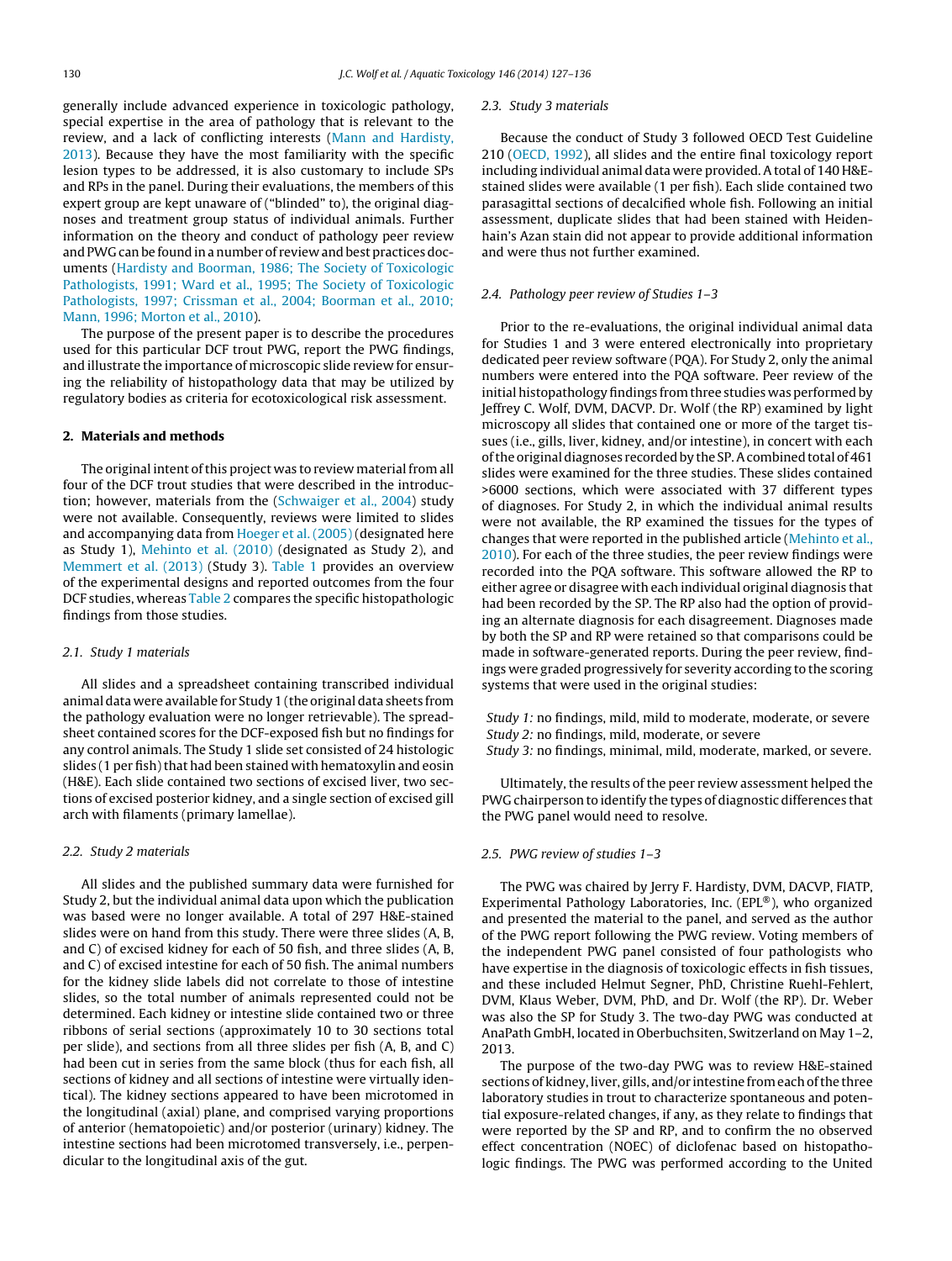generally include advanced experience in toxicologic pathology, special expertise in the area of pathology that is relevant to the review, and a lack of conflicting interests ([Mann](#page-9-0) [and](#page-9-0) [Hardisty,](#page-9-0) [2013\).](#page-9-0) Because they have the most familiarity with the specific lesion types to be addressed, it is also customary to include SPs and RPs in the panel. During their evaluations, the members of this expert group are kept unaware of ("blinded" to), the original diagnoses and treatment group status of individual animals. Further information on the theory and conduct of pathology peer review and PWG can be found in a number of review and best practices documents ([Hardisty](#page-9-0) [and](#page-9-0) [Boorman,](#page-9-0) [1986;](#page-9-0) [The](#page-9-0) [Society](#page-9-0) [of](#page-9-0) [Toxicologic](#page-9-0) [Pathologists,](#page-9-0) [1991;](#page-9-0) [Ward](#page-9-0) et [al.,](#page-9-0) [1995;](#page-9-0) [The](#page-9-0) [Society](#page-9-0) [of](#page-9-0) [Toxicologic](#page-9-0) [Pathologists,](#page-9-0) [1997;](#page-9-0) [Crissman](#page-9-0) et [al.,](#page-9-0) [2004;](#page-9-0) [Boorman](#page-9-0) et [al.,](#page-9-0) [2010;](#page-9-0) [Mann,](#page-9-0) [1996;](#page-9-0) [Morton](#page-9-0) et [al.,](#page-9-0) [2010\).](#page-9-0)

The purpose of the present paper is to describe the procedures used for this particular DCF trout PWG, report the PWG findings, and illustrate the importance of microscopic slide review for ensuring the reliability of histopathology data that may be utilized by regulatory bodies as criteria for ecotoxicological risk assessment.

## **2. Materials and methods**

The original intent of this project was to review material from all four of the DCF trout studies that were described in the introduction; however, materials from the [\(Schwaiger](#page-9-0) et [al.,](#page-9-0) [2004\)](#page-9-0) study were not available. Consequently, reviews were limited to slides and accompanying data from [Hoeger](#page-9-0) et [al.](#page-9-0) [\(2005\)](#page-9-0) (designated here as Study 1), [Mehinto](#page-9-0) et [al.](#page-9-0) [\(2010\)](#page-9-0) (designated as Study 2), and [Memmert](#page-9-0) et [al.](#page-9-0) [\(2013\)](#page-9-0) (Study 3). [Table](#page-1-0) 1 provides an overview of the experimental designs and reported outcomes from the four DCF studies, whereas [Table](#page-2-0) 2 compares the specific histopathologic findings from those studies.

## 2.1. Study 1 materials

All slides and a spreadsheet containing transcribed individual animal data were available for Study 1 (the original data sheets from the pathology evaluation were no longer retrievable). The spreadsheet contained scores for the DCF-exposed fish but no findings for any control animals. The Study 1 slide set consisted of 24 histologic slides (1 per fish) that had been stained with hematoxylin and eosin (H&E). Each slide contained two sections of excised liver, two sections of excised posterior kidney, and a single section of excised gill arch with filaments (primary lamellae).

## 2.2. Study 2 materials

All slides and the published summary data were furnished for Study 2, but the individual animal data upon which the publication was based were no longer available. A total of 297 H&E-stained slides were on hand from this study. There were three slides (A, B, and C) of excised kidney for each of 50 fish, and three slides (A, B, and C) of excised intestine for each of 50 fish. The animal numbers for the kidney slide labels did not correlate to those of intestine slides, so the total number of animals represented could not be determined. Each kidney or intestine slide contained two or three ribbons of serial sections (approximately 10 to 30 sections total per slide), and sections from all three slides per fish (A, B, and C) had been cut in series from the same block (thus for each fish, all sections of kidney and all sections of intestine were virtually identical). The kidney sections appeared to have been microtomed in the longitudinal (axial) plane, and comprised varying proportions of anterior (hematopoietic) and/or posterior (urinary) kidney. The intestine sections had been microtomed transversely, i.e., perpendicular to the longitudinal axis of the gut.

#### 2.3. Study 3 materials

Because the conduct of Study 3 followed OECD Test Guideline 210 [\(OECD,](#page-9-0) [1992\),](#page-9-0) all slides and the entire final toxicology report including individual animal data were provided. A total of 140 H&Estained slides were available (1 per fish). Each slide contained two parasagittal sections of decalcified whole fish. Following an initial assessment, duplicate slides that had been stained with Heidenhain's Azan stain did not appear to provide additional information and were thus not further examined.

## 2.4. Pathology peer review of Studies 1–3

Prior to the re-evaluations, the original individual animal data for Studies 1 and 3 were entered electronically into proprietary dedicated peer review software (PQA). For Study 2, only the animal numbers were entered into the PQA software. Peer review of the initial histopathology findings from three studies was performed by Jeffrey C. Wolf, DVM, DACVP. Dr. Wolf (the RP) examined by light microscopy all slides that contained one or more of the target tissues (i.e., gills, liver, kidney, and/or intestine), in concert with each of the original diagnoses recorded by the SP. A combined total of 461 slides were examined for the three studies. These slides contained >6000 sections, which were associated with 37 different types of diagnoses. For Study 2, in which the individual animal results were not available, the RP examined the tissues for the types of changes that were reported in the published article ([Mehinto](#page-9-0) et [al.,](#page-9-0) [2010\).](#page-9-0) For each of the three studies, the peer review findings were recorded into the PQA software. This software allowed the RP to either agree or disagree with each individual original diagnosis that had been recorded by the SP. The RP also had the option of providing an alternate diagnosis for each disagreement. Diagnoses made by both the SP and RP were retained so that comparisons could be made in software-generated reports. During the peer review, findings were graded progressively for severity according to the scoring systems that were used in the original studies:

Study 1: no findings, mild, mild to moderate, moderate, or severe Study 2: no findings, mild, moderate, or severe Study 3: no findings, minimal, mild, moderate, marked, or severe.

Ultimately, the results of the peer review assessment helped the PWG chairperson to identify the types of diagnostic differences that the PWG panel would need to resolve.

## 2.5. PWG review of studies 1–3

The PWG was chaired by Jerry F. Hardisty, DVM, DACVP, FIATP, Experimental Pathology Laboratories, Inc. (EPL®), who organized and presented the material to the panel, and served as the author of the PWG report following the PWG review. Voting members of the independent PWG panel consisted of four pathologists who have expertise in the diagnosis of toxicologic effects in fish tissues, and these included Helmut Segner, PhD, Christine Ruehl-Fehlert, DVM, Klaus Weber, DVM, PhD, and Dr. Wolf (the RP). Dr. Weber was also the SP for Study 3. The two-day PWG was conducted at AnaPath GmbH, located in Oberbuchsiten, Switzerland on May 1–2, 2013.

The purpose of the two-day PWG was to review H&E-stained sections of kidney, liver, gills, and/or intestine from each of the three laboratory studies in trout to characterize spontaneous and potential exposure-related changes, if any, as they relate to findings that were reported by the SP and RP, and to confirm the no observed effect concentration (NOEC) of diclofenac based on histopathologic findings. The PWG was performed according to the United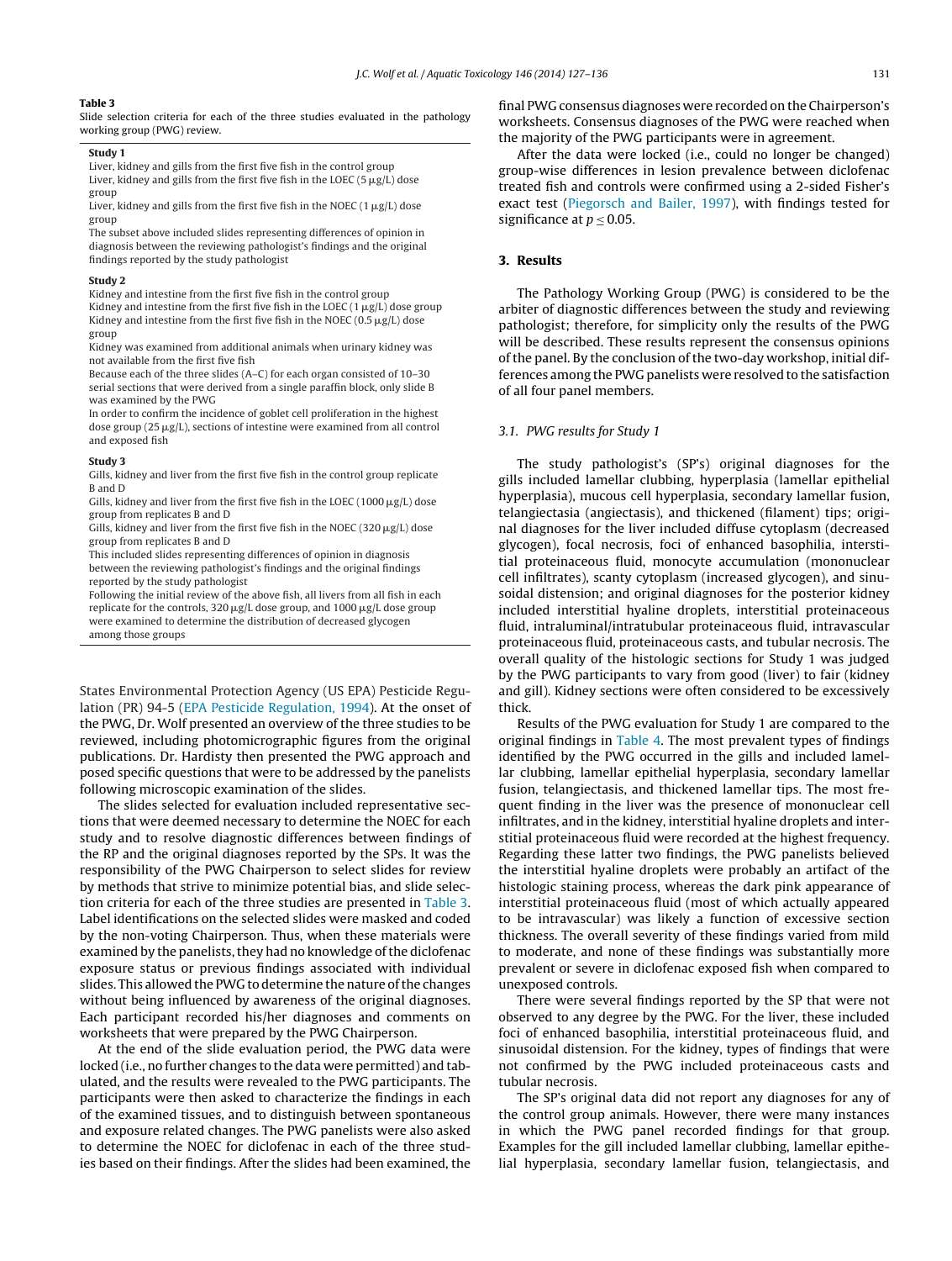Slide selection criteria for each of the three studies evaluated in the pathology working group (PWG) review.

#### **Study 1**

Liver, kidney and gills from the first five fish in the control group Liver, kidney and gills from the first five fish in the LOEC (5  $\mu$ g/L) dose group

Liver, kidney and gills from the first five fish in the NOEC (1  $\mu$ g/L) dose group

The subset above included slides representing differences of opinion in diagnosis between the reviewing pathologist's findings and the original findings reported by the study pathologist

#### **Study 2**

Kidney and intestine from the first five fish in the control group Kidney and intestine from the first five fish in the LOEC (1  $\mu$ g/L) dose group Kidney and intestine from the first five fish in the NOEC (0.5  $\mu$ g/L) dose group

Kidney was examined from additional animals when urinary kidney was not available from the first five fish

Because each of the three slides (A–C) for each organ consisted of 10–30 serial sections that were derived from a single paraffin block, only slide B was examined by the PWG

In order to confirm the incidence of goblet cell proliferation in the highest dose group (25  $\mu$ g/L), sections of intestine were examined from all control and exposed fish

#### **Study 3**

Gills, kidney and liver from the first five fish in the control group replicate B and D

Gills, kidney and liver from the first five fish in the LOEC (1000  $\mu$ g/L) dose group from replicates B and D

Gills, kidney and liver from the first five fish in the NOEC (320  $\mu$ g/L) dose group from replicates B and D

This included slides representing differences of opinion in diagnosis between the reviewing pathologist's findings and the original findings reported by the study pathologist

Following the initial review of the above fish, all livers from all fish in each replicate for the controls, 320  $\mu$ g/L dose group, and 1000  $\mu$ g/L dose group were examined to determine the distribution of decreased glycogen among those groups

States Environmental Protection Agency (US EPA) Pesticide Regulation (PR) 94-5 ([EPA](#page-9-0) [Pesticide](#page-9-0) [Regulation,](#page-9-0) [1994\).](#page-9-0) At the onset of the PWG, Dr. Wolf presented an overview of the three studies to be reviewed, including photomicrographic figures from the original publications. Dr. Hardisty then presented the PWG approach and posed specific questions that were to be addressed by the panelists following microscopic examination of the slides.

The slides selected for evaluation included representative sections that were deemed necessary to determine the NOEC for each study and to resolve diagnostic differences between findings of the RP and the original diagnoses reported by the SPs. It was the responsibility of the PWG Chairperson to select slides for review by methods that strive to minimize potential bias, and slide selection criteria for each of the three studies are presented in Table 3. Label identifications on the selected slides were masked and coded by the non-voting Chairperson. Thus, when these materials were examined by the panelists, they had no knowledge of the diclofenac exposure status or previous findings associated with individual slides. This allowed the PWG to determine the nature of the changes without being influenced by awareness of the original diagnoses. Each participant recorded his/her diagnoses and comments on worksheets that were prepared by the PWG Chairperson.

At the end of the slide evaluation period, the PWG data were locked (i.e., no further changes to the data were permitted) and tabulated, and the results were revealed to the PWG participants. The participants were then asked to characterize the findings in each of the examined tissues, and to distinguish between spontaneous and exposure related changes. The PWG panelists were also asked to determine the NOEC for diclofenac in each of the three studies based on their findings. After the slides had been examined, the final PWG consensus diagnoses were recorded on the Chairperson's worksheets. Consensus diagnoses of the PWG were reached when the majority of the PWG participants were in agreement.

After the data were locked (i.e., could no longer be changed) group-wise differences in lesion prevalence between diclofenac treated fish and controls were confirmed using a 2-sided Fisher's exact test ([Piegorsch](#page-9-0) [and](#page-9-0) [Bailer,](#page-9-0) [1997\),](#page-9-0) with findings tested for significance at  $p < 0.05$ .

## **3. Results**

The Pathology Working Group (PWG) is considered to be the arbiter of diagnostic differences between the study and reviewing pathologist; therefore, for simplicity only the results of the PWG will be described. These results represent the consensus opinions of the panel. By the conclusion of the two-day workshop, initial differences among the PWG panelists were resolved to the satisfaction of all four panel members.

## 3.1. PWG results for Study 1

The study pathologist's (SP's) original diagnoses for the gills included lamellar clubbing, hyperplasia (lamellar epithelial hyperplasia), mucous cell hyperplasia, secondary lamellar fusion, telangiectasia (angiectasis), and thickened (filament) tips; original diagnoses for the liver included diffuse cytoplasm (decreased glycogen), focal necrosis, foci of enhanced basophilia, interstitial proteinaceous fluid, monocyte accumulation (mononuclear cell infiltrates), scanty cytoplasm (increased glycogen), and sinusoidal distension; and original diagnoses for the posterior kidney included interstitial hyaline droplets, interstitial proteinaceous fluid, intraluminal/intratubular proteinaceous fluid, intravascular proteinaceous fluid, proteinaceous casts, and tubular necrosis. The overall quality of the histologic sections for Study 1 was judged by the PWG participants to vary from good (liver) to fair (kidney and gill). Kidney sections were often considered to be excessively thick.

Results of the PWG evaluation for Study 1 are compared to the original findings in [Table](#page-5-0) 4. The most prevalent types of findings identified by the PWG occurred in the gills and included lamellar clubbing, lamellar epithelial hyperplasia, secondary lamellar fusion, telangiectasis, and thickened lamellar tips. The most frequent finding in the liver was the presence of mononuclear cell infiltrates, and in the kidney, interstitial hyaline droplets and interstitial proteinaceous fluid were recorded at the highest frequency. Regarding these latter two findings, the PWG panelists believed the interstitial hyaline droplets were probably an artifact of the histologic staining process, whereas the dark pink appearance of interstitial proteinaceous fluid (most of which actually appeared to be intravascular) was likely a function of excessive section thickness. The overall severity of these findings varied from mild to moderate, and none of these findings was substantially more prevalent or severe in diclofenac exposed fish when compared to unexposed controls.

There were several findings reported by the SP that were not observed to any degree by the PWG. For the liver, these included foci of enhanced basophilia, interstitial proteinaceous fluid, and sinusoidal distension. For the kidney, types of findings that were not confirmed by the PWG included proteinaceous casts and tubular necrosis.

The SP's original data did not report any diagnoses for any of the control group animals. However, there were many instances in which the PWG panel recorded findings for that group. Examples for the gill included lamellar clubbing, lamellar epithelial hyperplasia, secondary lamellar fusion, telangiectasis, and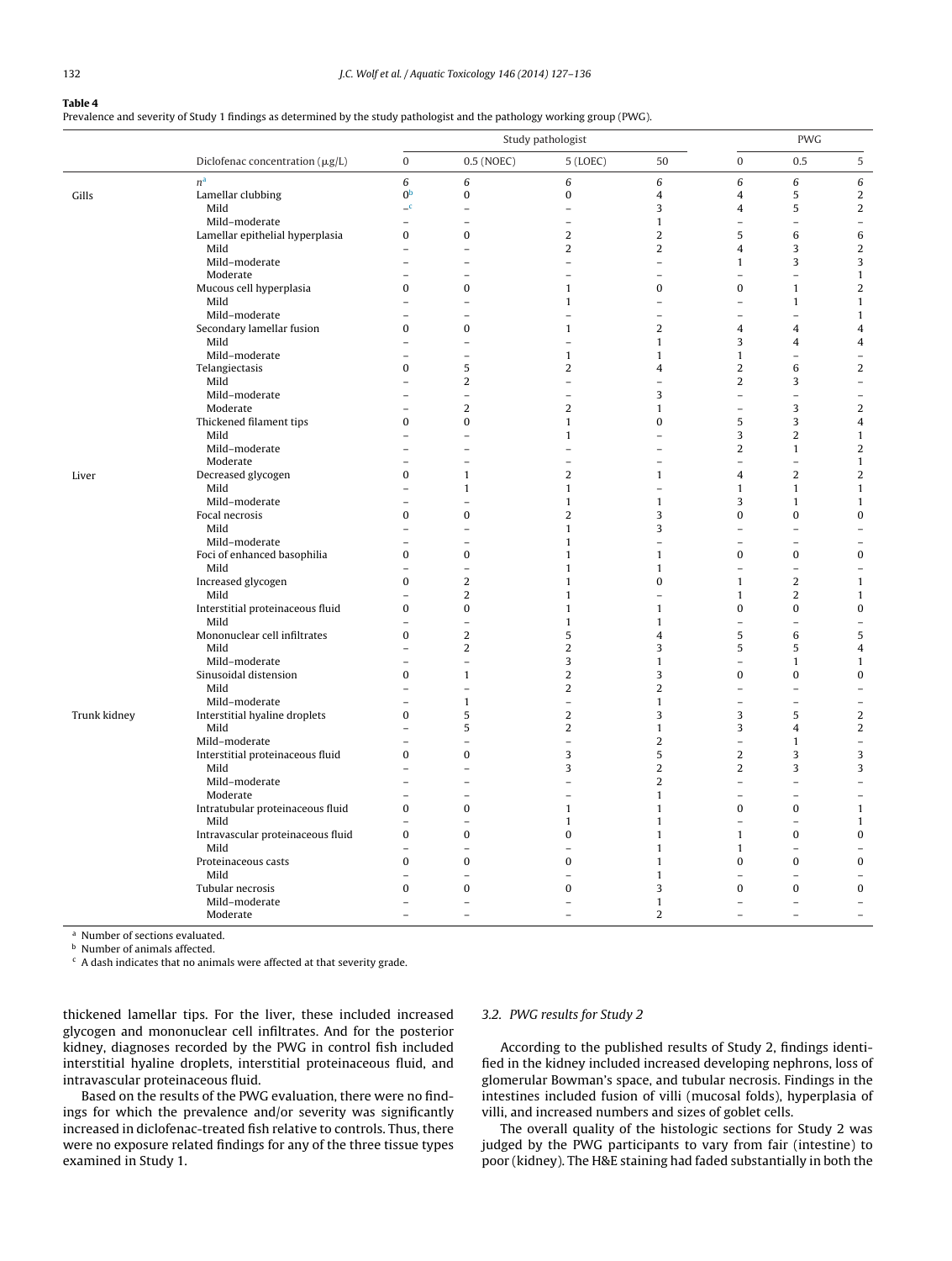<span id="page-5-0"></span>Prevalence and severity of Study 1 findings as determined by the study pathologist and the pathology working group (PWG).

|              |                                          |                                | Study pathologist                        | PWG                                          |                                          |                                       |                                  |                                          |
|--------------|------------------------------------------|--------------------------------|------------------------------------------|----------------------------------------------|------------------------------------------|---------------------------------------|----------------------------------|------------------------------------------|
|              | Diclofenac concentration $(\mu g/L)$     | $\bf{0}$                       | 0.5 (NOEC)                               | 5 (LOEC)                                     | 50                                       | $\bf{0}$                              | 0.5                              | 5                                        |
|              | $n^a$                                    | 6                              | 6                                        | 6                                            | 6                                        | 6                                     | 6                                | 6                                        |
| Gills        | Lamellar clubbing                        | 0 <sup>b</sup>                 | $\bf{0}$                                 | $\bf{0}$                                     | $\overline{4}$                           | $\overline{4}$                        | 5                                | 2                                        |
|              | Mild                                     | $\mathbf{C}$                   |                                          |                                              | 3                                        | 4                                     | 5                                | $\overline{c}$                           |
|              | Mild-moderate                            | $\overline{a}$                 | $\equiv$                                 | $\overline{a}$                               | $\mathbf{1}$                             | $\overline{a}$                        | $\overline{\phantom{a}}$         | $\overline{a}$                           |
|              | Lamellar epithelial hyperplasia          | $\bf{0}$<br>$\overline{a}$     | $\Omega$<br>$\equiv$                     | $\overline{2}$                               | $\overline{2}$                           | 5                                     | 6                                | $\,$ 6 $\,$                              |
|              | Mild<br>Mild-moderate                    | $\overline{a}$                 | $\equiv$                                 | $\boldsymbol{2}$<br>$\overline{\phantom{a}}$ | $\boldsymbol{2}$<br>$\overline{a}$       | 4<br>$\mathbf{1}$                     | 3<br>3                           | $\boldsymbol{2}$<br>3                    |
|              | Moderate                                 |                                | $\overline{a}$                           |                                              | $\equiv$                                 | $\overline{\phantom{a}}$              | $\overline{\phantom{a}}$         | $\mathbf{1}$                             |
|              | Mucous cell hyperplasia                  | $\bf{0}$                       | $\mathbf{0}$                             | $\mathbf{1}$                                 | $\bf{0}$                                 | $\pmb{0}$                             | $\mathbf{1}$                     | $\overline{2}$                           |
|              | Mild                                     |                                |                                          | $\mathbf{1}$                                 | $\overline{\phantom{a}}$                 |                                       | $\mathbf{1}$                     | $\mathbf{1}$                             |
|              | Mild-moderate                            |                                | $\overline{a}$                           |                                              | $\overline{\phantom{a}}$                 | $\overline{a}$                        | $\overline{\phantom{a}}$         | $\mathbf{1}$                             |
|              | Secondary lamellar fusion                | $\bf{0}$                       | $\bf{0}$                                 | $\mathbf{1}$                                 | $\boldsymbol{2}$                         | $\overline{\mathbf{4}}$               | 4                                | $\overline{4}$                           |
|              | Mild                                     | $\overline{a}$                 | $\equiv$                                 | $\overline{\phantom{a}}$                     | $\mathbf{1}$                             | 3                                     | 4                                | $\sqrt{4}$                               |
|              | Mild-moderate<br>Telangiectasis          | $\overline{a}$<br>$\mathbf{0}$ | $\overline{a}$<br>5                      | $\mathbf{1}$<br>$\overline{2}$               | $\mathbf{1}$<br>$\overline{4}$           | $\mathbf{1}$<br>$\overline{2}$        | $\overline{a}$<br>6              | $\equiv$<br>$\overline{2}$               |
|              | Mild                                     |                                | $\overline{2}$                           |                                              | $\overline{a}$                           | $\overline{2}$                        | 3                                | $\equiv$                                 |
|              | Mild-moderate                            |                                | $\overline{a}$                           |                                              | 3                                        | $\overline{\phantom{0}}$              | Ē,                               | $\overline{\phantom{a}}$                 |
|              | Moderate                                 | $\overline{a}$                 | $\overline{2}$                           | $\overline{2}$                               | $\mathbf{1}$                             | $\overline{\phantom{a}}$              | 3                                | $\overline{2}$                           |
|              | Thickened filament tips                  | $\mathbf{0}$                   | $\mathbf{0}$                             | $\mathbf{1}$                                 | $\bf{0}$                                 | 5                                     | 3                                | $\overline{4}$                           |
|              | Mild                                     |                                | $\overline{a}$                           | $\mathbf{1}$                                 | $\overline{\phantom{a}}$                 | 3                                     | $\overline{c}$                   | $\mathbf{1}$                             |
|              | Mild-moderate                            |                                |                                          |                                              | $\overline{a}$                           | $\overline{c}$                        | $\mathbf{1}$                     | $\sqrt{2}$                               |
|              | Moderate                                 | $\overline{a}$<br>$\mathbf{0}$ | $\overline{a}$                           | $\overline{a}$                               | $\overline{a}$                           | $\overline{\phantom{a}}$              | $\overline{a}$<br>$\overline{2}$ | $\mathbf{1}$<br>$\overline{2}$           |
| Liver        | Decreased glycogen<br>Mild               | $\overline{a}$                 | $\mathbf{1}$<br>$\mathbf{1}$             | $\overline{2}$<br>$\mathbf{1}$               | $\mathbf{1}$<br>$\overline{\phantom{a}}$ | $\overline{4}$<br>$\mathbf{1}$        | $\mathbf{1}$                     | $\mathbf{1}$                             |
|              | Mild-moderate                            |                                |                                          | $\mathbf{1}$                                 | $\mathbf{1}$                             | 3                                     | $\mathbf{1}$                     | $\mathbf{1}$                             |
|              | Focal necrosis                           | $\mathbf{0}$                   | $\bf{0}$                                 | $\overline{2}$                               | 3                                        | $\bf{0}$                              | $\bf{0}$                         | $\bf{0}$                                 |
|              | Mild                                     |                                | $\overline{\phantom{0}}$                 | $\mathbf{1}$                                 | 3                                        | $\overline{\phantom{a}}$              | $\overline{\phantom{a}}$         | $\overline{a}$                           |
|              | Mild-moderate                            |                                | $\equiv$                                 | $\mathbf{1}$                                 | $\overline{a}$                           | $\overline{a}$                        | $\overline{a}$                   | $\equiv$                                 |
|              | Foci of enhanced basophilia              | $\bf{0}$                       | $\mathbf 0$                              | $\mathbf{1}$                                 | $\mathbf{1}$                             | 0                                     | $\mathbf{0}$                     | $\pmb{0}$                                |
|              | Mild                                     | $\overline{a}$                 | $\overline{a}$                           | $\mathbf{1}$                                 | $\mathbf{1}$                             | $\overline{a}$                        | $\overline{a}$                   | $\equiv$                                 |
|              | Increased glycogen<br>Mild               | $\mathbf{0}$                   | $\overline{2}$<br>$\overline{2}$         | $\mathbf{1}$<br>$\mathbf{1}$                 | $\mathbf{0}$<br>L,                       | $\mathbf{1}$<br>$\mathbf{1}$          | $\overline{2}$<br>2              | $\mathbf{1}$<br>$\mathbf{1}$             |
|              | Interstitial proteinaceous fluid         | $\bf{0}$                       | $\mathbf{0}$                             | $\mathbf{1}$                                 | $\mathbf{1}$                             | $\bf{0}$                              | $\bf{0}$                         | $\bf{0}$                                 |
|              | Mild                                     |                                | $\overline{\phantom{a}}$                 | $\mathbf{1}$                                 | $\mathbf{1}$                             | $\overline{a}$                        | $\overline{\phantom{a}}$         | $\equiv$                                 |
|              | Mononuclear cell infiltrates             | $\bf{0}$                       | $\mathbf 2$                              | 5                                            | $\overline{4}$                           | 5                                     | 6                                | 5                                        |
|              | Mild                                     | $\overline{a}$                 | $\boldsymbol{2}$                         | $\boldsymbol{2}$                             | 3                                        | 5                                     | 5                                | $\overline{\mathbf{4}}$                  |
|              | Mild-moderate                            |                                | $\overline{\phantom{0}}$                 | 3                                            | $\mathbf{1}$                             | $\overline{\phantom{a}}$              | $\mathbf{1}$                     | $\mathbf{1}$                             |
|              | Sinusoidal distension                    | $\mathbf{0}$                   | $\mathbf{1}$                             | $\overline{2}$                               | 3                                        | $\pmb{0}$                             | $\bf{0}$                         | $\bf{0}$                                 |
|              | Mild<br>Mild-moderate                    |                                | $\overline{\phantom{a}}$<br>$\mathbf{1}$ | $\overline{2}$<br>$\overline{\phantom{a}}$   | $\overline{2}$<br>$\mathbf{1}$           | $\overline{a}$                        |                                  | $\overline{a}$<br>$\equiv$               |
| Trunk kidney | Interstitial hyaline droplets            | $\bf{0}$                       | 5                                        | $\,2$                                        | 3                                        | 3                                     | 5                                | $\,2$                                    |
|              | Mild                                     | $\overline{a}$                 | 5                                        | $\overline{2}$                               | $\mathbf{1}$                             | 3                                     | 4                                | $\overline{c}$                           |
|              | Mild-moderate                            | $\overline{a}$                 | $\overline{a}$                           | $\overline{\phantom{a}}$                     | $\overline{\mathbf{c}}$                  | $\overline{\phantom{a}}$              | $\mathbf{1}$                     | $\equiv$                                 |
|              | Interstitial proteinaceous fluid         | $\mathbf{0}$                   | $\mathbf{0}$                             | 3                                            | $\sqrt{5}$                               | $\overline{c}$                        | 3                                | 3                                        |
|              | Mild                                     |                                |                                          | 3                                            | $\overline{2}$                           | $\overline{c}$                        | 3                                | 3                                        |
|              | Mild-moderate                            |                                | $\overline{\phantom{0}}$                 |                                              | $\overline{2}$                           | $\overline{a}$                        |                                  | $\overline{a}$                           |
|              | Moderate                                 | $\bf{0}$                       | $\mathbf{0}$                             | $\mathbf{1}$                                 | $\mathbf{1}$<br>$\mathbf{1}$             | $\overline{\phantom{0}}$<br>$\pmb{0}$ | $\bf{0}$                         | $\overline{\phantom{m}}$<br>$\mathbf{1}$ |
|              | Intratubular proteinaceous fluid<br>Mild |                                | $\equiv$                                 | $\mathbf{1}$                                 | $\mathbf{1}$                             | $\overline{\phantom{a}}$              | $\overline{\phantom{a}}$         | $\mathbf{1}$                             |
|              | Intravascular proteinaceous fluid        | $\bf{0}$                       | $\bf{0}$                                 | $\bf{0}$                                     | $\mathbf{1}$                             | $\mathbf{1}$                          | $\bf{0}$                         | $\bf{0}$                                 |
|              | Mild                                     |                                | $\overline{a}$                           |                                              | $\mathbf{1}$                             | $\mathbf{1}$                          | $\overline{\phantom{a}}$         | $\overline{\phantom{a}}$                 |
|              | Proteinaceous casts                      | $\mathbf{0}$                   | $\mathbf{0}$                             | $\mathbf{0}$                                 | $\mathbf{1}$                             | $\bf{0}$                              | $\bf{0}$                         | $\bf{0}$                                 |
|              | Mild                                     |                                |                                          |                                              | $\mathbf{1}$                             |                                       |                                  |                                          |
|              | Tubular necrosis                         | $\bf{0}$                       | $\bf{0}$                                 | $\bf{0}$                                     | 3                                        | $\bf{0}$                              | 0                                | $\bf{0}$                                 |
|              | Mild-moderate                            | $\overline{a}$                 | $\overline{a}$                           |                                              | $\mathbf{1}$                             | $\overline{\phantom{a}}$              |                                  | $\overline{a}$                           |
|              | Moderate                                 |                                | $\overline{\phantom{a}}$                 |                                              | $\overline{2}$                           |                                       |                                  |                                          |

<sup>a</sup> Number of sections evaluated.

**b** Number of animals affected.

 $\ensuremath{^{\text{c}}}$  A dash indicates that no animals were affected at that severity grade.

thickened lamellar tips. For the liver, these included increased glycogen and mononuclear cell infiltrates. And for the posterior kidney, diagnoses recorded by the PWG in control fish included interstitial hyaline droplets, interstitial proteinaceous fluid, and intravascular proteinaceous fluid.

Based on the results of the PWG evaluation, there were no findings for which the prevalence and/or severity was significantly increased in diclofenac-treated fish relative to controls. Thus, there were no exposure related findings for any of the three tissue types examined in Study 1.

## 3.2. PWG results for Study 2

According to the published results of Study 2, findings identified in the kidney included increased developing nephrons, loss of glomerular Bowman's space, and tubular necrosis. Findings in the intestines included fusion of villi (mucosal folds), hyperplasia of villi, and increased numbers and sizes of goblet cells.

The overall quality of the histologic sections for Study 2 was judged by the PWG participants to vary from fair (intestine) to poor (kidney). The H&E staining had faded substantially in both the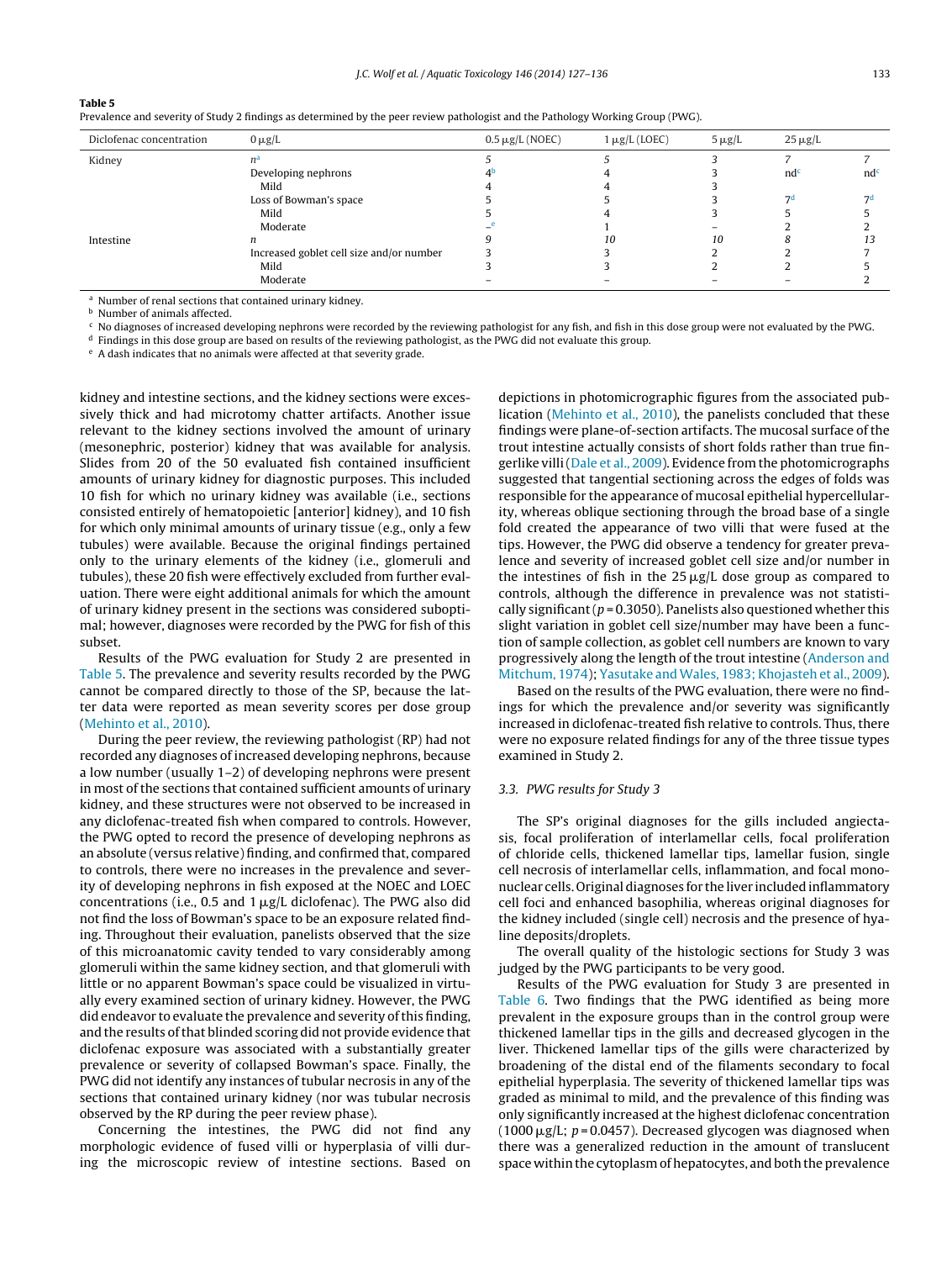Prevalence and severity of Study 2 findings as determined by the peer review pathologist and the Pathology Working Group (PWG).

| Diclofenac concentration | $0 \mu g/L$                              | $0.5 \mu g/L$ (NOEC) | $1 \mu g/L$ (LOEC) | $5 \mu g/L$ | $25 \mu g/L$    |                 |
|--------------------------|------------------------------------------|----------------------|--------------------|-------------|-----------------|-----------------|
| Kidney                   | nª                                       |                      |                    |             |                 |                 |
|                          | Developing nephrons                      |                      |                    |             | nd <sup>c</sup> | nd <sup>c</sup> |
|                          | Mild                                     |                      |                    |             |                 |                 |
|                          | Loss of Bowman's space                   |                      |                    |             | 7d              |                 |
|                          | Mild                                     |                      |                    |             |                 |                 |
|                          | Moderate                                 |                      |                    |             |                 |                 |
| Intestine                |                                          |                      | 10                 | 10          |                 |                 |
|                          | Increased goblet cell size and/or number |                      |                    |             |                 |                 |
|                          | Mild                                     |                      |                    |             |                 |                 |
|                          | Moderate                                 |                      |                    |             |                 |                 |

<sup>a</sup> Number of renal sections that contained urinary kidney.

**b** Number of animals affected.

 $c$  No diagnoses of increased developing nephrons were recorded by the reviewing pathologist for any fish, and fish in this dose group were not evaluated by the PWG.

<sup>d</sup> Findings in this dose group are based on results of the reviewing pathologist, as the PWG did not evaluate this group.

<sup>e</sup> A dash indicates that no animals were affected at that severity grade.

kidney and intestine sections, and the kidney sections were excessively thick and had microtomy chatter artifacts. Another issue relevant to the kidney sections involved the amount of urinary (mesonephric, posterior) kidney that was available for analysis. Slides from 20 of the 50 evaluated fish contained insufficient amounts of urinary kidney for diagnostic purposes. This included 10 fish for which no urinary kidney was available (i.e., sections consisted entirely of hematopoietic [anterior] kidney), and 10 fish for which only minimal amounts of urinary tissue (e.g., only a few tubules) were available. Because the original findings pertained only to the urinary elements of the kidney (i.e., glomeruli and tubules), these 20 fish were effectively excluded from further evaluation. There were eight additional animals for which the amount of urinary kidney present in the sections was considered suboptimal; however, diagnoses were recorded by the PWG for fish of this subset.

Results of the PWG evaluation for Study 2 are presented in Table 5. The prevalence and severity results recorded by the PWG cannot be compared directly to those of the SP, because the latter data were reported as mean severity scores per dose group ([Mehinto](#page-9-0) et [al.,](#page-9-0) [2010\).](#page-9-0)

During the peer review, the reviewing pathologist (RP) had not recorded any diagnoses of increased developing nephrons, because a low number (usually 1–2) of developing nephrons were present in most of the sections that contained sufficient amounts of urinary kidney, and these structures were not observed to be increased in any diclofenac-treated fish when compared to controls. However, the PWG opted to record the presence of developing nephrons as an absolute (versus relative) finding, and confirmed that, compared to controls, there were no increases in the prevalence and severity of developing nephrons in fish exposed at the NOEC and LOEC concentrations (i.e., 0.5 and 1  $\mu$ g/L diclofenac). The PWG also did not find the loss of Bowman's space to be an exposure related finding. Throughout their evaluation, panelists observed that the size of this microanatomic cavity tended to vary considerably among glomeruli within the same kidney section, and that glomeruli with little or no apparent Bowman's space could be visualized in virtually every examined section of urinary kidney. However, the PWG did endeavor to evaluate the prevalence and severity of this finding, and the results of that blinded scoring did not provide evidence that diclofenac exposure was associated with a substantially greater prevalence or severity of collapsed Bowman's space. Finally, the PWG did not identify any instances of tubular necrosis in any of the sections that contained urinary kidney (nor was tubular necrosis observed by the RP during the peer review phase).

Concerning the intestines, the PWG did not find any morphologic evidence of fused villi or hyperplasia of villi during the microscopic review of intestine sections. Based on depictions in photomicrographic figures from the associated publication [\(Mehinto](#page-9-0) et [al.,](#page-9-0) [2010\),](#page-9-0) the panelists concluded that these findings were plane-of-section artifacts. The mucosal surface of the trout intestine actually consists of short folds rather than true fingerlike villi([Dale](#page-9-0) et [al.,](#page-9-0) [2009\).](#page-9-0) Evidence from the photomicrographs suggested that tangential sectioning across the edges of folds was responsible for the appearance of mucosal epithelial hypercellularity, whereas oblique sectioning through the broad base of a single fold created the appearance of two villi that were fused at the tips. However, the PWG did observe a tendency for greater prevalence and severity of increased goblet cell size and/or number in the intestines of fish in the 25  $\mu$ g/L dose group as compared to controls, although the difference in prevalence was not statistically significant ( $p = 0.3050$ ). Panelists also questioned whether this slight variation in goblet cell size/number may have been a function of sample collection, as goblet cell numbers are known to vary progressively along the length of the trout intestine [\(Anderson](#page-9-0) [and](#page-9-0) [Mitchum,](#page-9-0) [1974\);](#page-9-0) [Yasutake](#page-9-0) [andWales,](#page-9-0) [1983;](#page-9-0) [Khojasteh](#page-9-0) et [al.,](#page-9-0) [2009\).](#page-9-0)

Based on the results of the PWG evaluation, there were no findings for which the prevalence and/or severity was significantly increased in diclofenac-treated fish relative to controls. Thus, there were no exposure related findings for any of the three tissue types examined in Study 2.

## 3.3. PWG results for Study 3

The SP's original diagnoses for the gills included angiectasis, focal proliferation of interlamellar cells, focal proliferation of chloride cells, thickened lamellar tips, lamellar fusion, single cell necrosis of interlamellar cells, inflammation, and focal mononuclear cells. Original diagnoses for the liver included inflammatory cell foci and enhanced basophilia, whereas original diagnoses for the kidney included (single cell) necrosis and the presence of hyaline deposits/droplets.

The overall quality of the histologic sections for Study 3 was judged by the PWG participants to be very good.

Results of the PWG evaluation for Study 3 are presented in [Table](#page-7-0) 6. Two findings that the PWG identified as being more prevalent in the exposure groups than in the control group were thickened lamellar tips in the gills and decreased glycogen in the liver. Thickened lamellar tips of the gills were characterized by broadening of the distal end of the filaments secondary to focal epithelial hyperplasia. The severity of thickened lamellar tips was graded as minimal to mild, and the prevalence of this finding was only significantly increased at the highest diclofenac concentration (1000  $\mu$ g/L; p = 0.0457). Decreased glycogen was diagnosed when there was a generalized reduction in the amount of translucent space within the cytoplasm of hepatocytes, and both the prevalence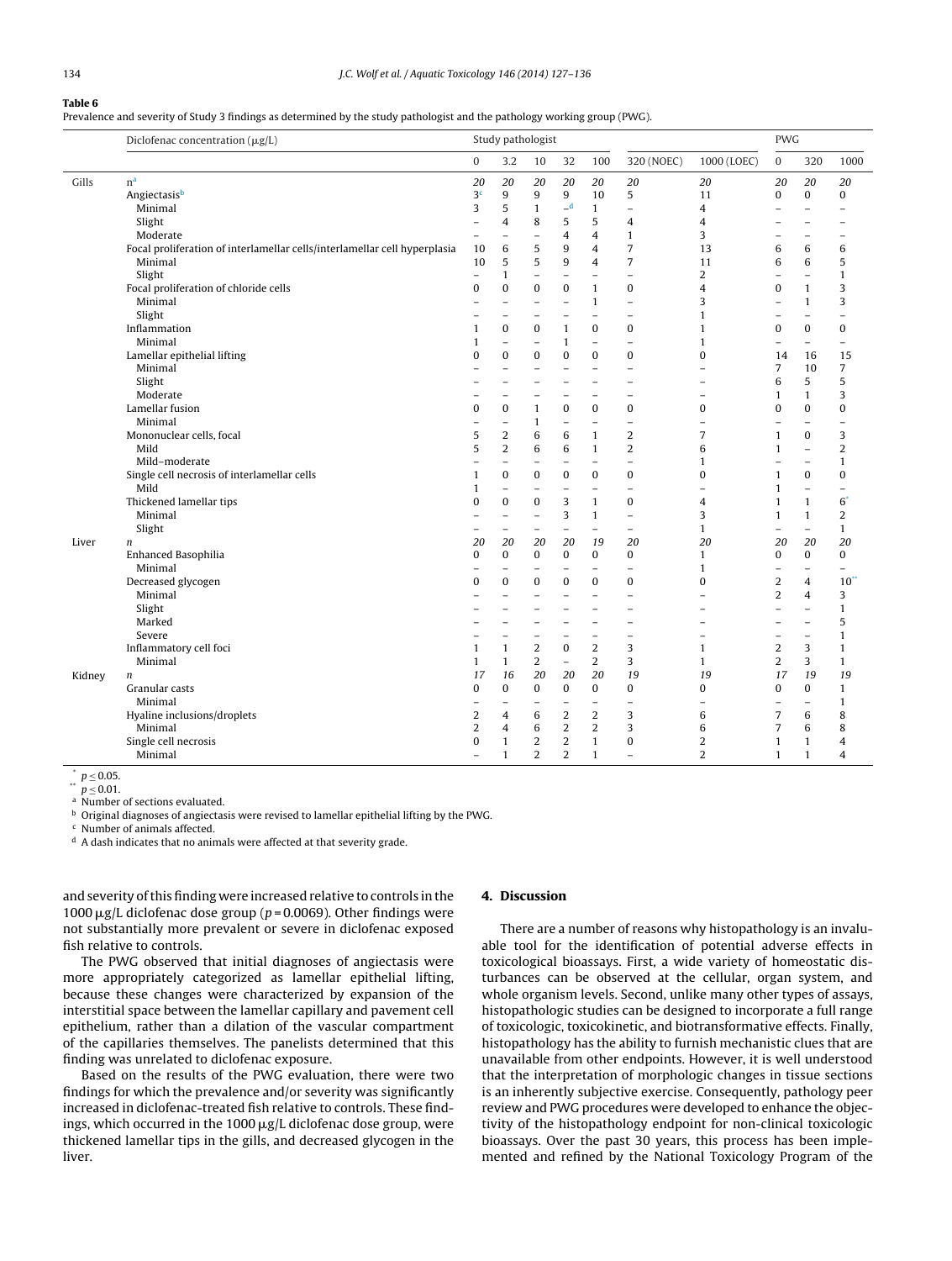<span id="page-7-0"></span>Prevalence and severity of Study 3 findings as determined by the study pathologist and the pathology working group (PWG).

|        | Diclofenac concentration $(\mu g/L)$                                      |                          | Study pathologist        |                          |                          |                          |                          | <b>PWG</b>               |                          |                          |                          |
|--------|---------------------------------------------------------------------------|--------------------------|--------------------------|--------------------------|--------------------------|--------------------------|--------------------------|--------------------------|--------------------------|--------------------------|--------------------------|
|        |                                                                           | $\overline{0}$           | 3.2                      | 10                       | 32                       | 100                      | 320 (NOEC)               | 1000 (LOEC)              | $\mathbf{0}$             | 320                      | 1000                     |
| Gills  | n <sup>a</sup>                                                            | 20                       | 20                       | 20                       | 20                       | 20                       | 20                       | 20                       | 20                       | 20                       | 20                       |
|        | Angiectasis <sup>b</sup>                                                  | 3 <sup>c</sup>           | 9                        | 9                        | 9                        | 10                       | 5                        | 11                       | $\bf{0}$                 | $\mathbf{0}$             | 0                        |
|        | Minimal                                                                   | 3                        | 5                        | $\mathbf{1}$             | $\mathbf{d}$             | $\mathbf{1}$             | $\overline{a}$           | $\overline{4}$           |                          |                          |                          |
|        | Slight                                                                    | $\overline{\phantom{0}}$ | 4                        | 8                        | 5                        | 5                        | 4                        | 4                        |                          |                          |                          |
|        | Moderate                                                                  | $\overline{a}$           | $\overline{a}$           | $\overline{\phantom{a}}$ | $\overline{4}$           | $\overline{4}$           | $\mathbf{1}$             | 3                        | $\overline{\phantom{a}}$ | $\overline{\phantom{a}}$ | $\overline{\phantom{a}}$ |
|        | Focal proliferation of interlamellar cells/interlamellar cell hyperplasia | 10                       | 6                        | 5                        | 9                        | $\overline{4}$           | 7                        | 13                       | 6                        | 6                        | 6                        |
|        | Minimal                                                                   | 10                       | 5                        | 5                        | 9                        | $\overline{4}$           | 7                        | 11                       | 6                        | 6                        | 5                        |
|        | Slight                                                                    | $\overline{\phantom{0}}$ | 1                        | $\overline{a}$           | $\overline{\phantom{0}}$ | $\overline{\phantom{0}}$ | $\qquad \qquad -$        | $\overline{2}$           | ÷                        | $\overline{\phantom{0}}$ | 1                        |
|        | Focal proliferation of chloride cells                                     | $\mathbf{0}$             | $\Omega$                 | $\mathbf{0}$             | $\Omega$                 | $\mathbf{1}$             | $\Omega$                 | 4                        | $\mathbf{0}$             | $\mathbf{1}$             | 3                        |
|        | Minimal                                                                   | $\overline{\phantom{a}}$ | $\overline{\phantom{0}}$ | $\overline{\phantom{a}}$ | $\overline{a}$           | $\mathbf{1}$             | $\overline{a}$           | 3                        | $\equiv$                 | $\mathbf{1}$             | 3                        |
|        | Slight                                                                    | $\overline{\phantom{0}}$ | $\overline{a}$           | $\overline{\phantom{a}}$ | $\overline{a}$           | $\overline{a}$           | $\overline{a}$           | $\mathbf{1}$             | $\overline{\phantom{0}}$ | $\overline{a}$           | $\overline{a}$           |
|        | Inflammation                                                              | $\mathbf{1}$             | 0                        | $\bf{0}$                 | $\mathbf{1}$             | $\bf{0}$                 | $\bf{0}$                 | $\mathbf{1}$             | $\mathbf{0}$             | $\bf{0}$                 | 0                        |
|        | Minimal                                                                   | $\mathbf{1}$             | $\equiv$                 |                          | $\mathbf{1}$             | $\overline{a}$           | $\qquad \qquad -$        | $\mathbf{1}$             | $\overline{a}$           | $\equiv$                 | $\overline{\phantom{0}}$ |
|        | Lamellar epithelial lifting                                               | $\Omega$                 | $\bf{0}$                 | $\mathbf{0}$             | $\mathbf{0}$             | $\mathbf{0}$             | $\mathbf 0$              | $\mathbf{0}$             | 14                       | 16                       | 15                       |
|        | Minimal                                                                   |                          | $\equiv$                 |                          | $\overline{\phantom{a}}$ | $\overline{\phantom{0}}$ | $\overline{\phantom{0}}$ | $\overline{\phantom{0}}$ | $\overline{7}$           | 10                       | $\overline{7}$           |
|        | Slight                                                                    |                          |                          |                          |                          | $\overline{\phantom{0}}$ | $\overline{\phantom{0}}$ | $\overline{a}$           | 6                        | 5                        | 5                        |
|        | Moderate                                                                  |                          | $\overline{a}$           |                          | $\overline{a}$           | $\overline{a}$           | $\overline{a}$           | $\overline{a}$           | 1                        | $\mathbf{1}$             | 3                        |
|        | Lamellar fusion                                                           | $\bf{0}$                 | $\Omega$                 | $\mathbf{1}$             | $\mathbf{0}$             | $\mathbf{0}$             | $\bf{0}$                 | $\mathbf{0}$             | $\bf{0}$                 | $\Omega$                 | $\bf{0}$                 |
|        | Minimal                                                                   | ÷                        | $\overline{a}$           | $\mathbf{1}$             | $\qquad \qquad -$        | $\overline{a}$           | $\overline{a}$           | $\overline{\phantom{0}}$ | $\equiv$                 | $\overline{\phantom{a}}$ | Ē,                       |
|        | Mononuclear cells, focal                                                  | 5                        | 2                        | 6                        | 6                        | $\mathbf{1}$             | $\overline{2}$           | $\overline{7}$           | $\mathbf{1}$             | $\bf{0}$                 | 3                        |
|        | Mild                                                                      | 5                        | $\overline{2}$           | 6                        | 6                        | $\mathbf{1}$             | 2                        | 6                        | $\mathbf{1}$             | $\overline{a}$           | 2                        |
|        | Mild-moderate                                                             | $\overline{\phantom{a}}$ | $\equiv$                 |                          | $\overline{\phantom{a}}$ | $\overline{\phantom{a}}$ | $\overline{\phantom{0}}$ | $\mathbf{1}$             | $\equiv$                 | $\overline{\phantom{a}}$ | $\mathbf{1}$             |
|        | Single cell necrosis of interlamellar cells                               | $\mathbf{1}$             | 0                        | $\mathbf{0}$             | $\mathbf{0}$             | $\mathbf{0}$             | $\bf{0}$                 | $\mathbf{0}$             | $\mathbf{1}$             | $\bf{0}$                 | $\bf{0}$                 |
|        | Mild                                                                      | $\mathbf{1}$             | $\overline{\phantom{0}}$ |                          | $\overline{\phantom{0}}$ | $\overline{\phantom{0}}$ | $\qquad \qquad -$        | $\overline{a}$           | $\mathbf{1}$             | $\overline{\phantom{0}}$ | $\overline{a}$           |
|        | Thickened lamellar tips                                                   | $\mathbf{0}$             | $\Omega$                 | $\mathbf{0}$             | 3                        | $\mathbf{1}$             | $\Omega$                 | 4                        | $\mathbf{1}$             | 1                        | $6^{\circ}$              |
|        | Minimal                                                                   | $\equiv$                 | $\overline{a}$           | $\equiv$                 | 3                        | $\mathbf{1}$             | $\overline{a}$           | 3                        | $\mathbf{1}$             | $\mathbf{1}$             | 2                        |
|        | Slight                                                                    | $\overline{\phantom{0}}$ | $\overline{a}$           | $\overline{\phantom{0}}$ | $\overline{a}$           | $\overline{a}$           | $\overline{a}$           | $\mathbf{1}$             | $\overline{\phantom{0}}$ | $\overline{a}$           | $\mathbf{1}$             |
|        | $\sqrt{n}$                                                                | 20                       | 20                       | 20                       | 20                       | 19                       | 20                       | 20                       | 20                       | 20                       | 20                       |
| Liver  | Enhanced Basophilia                                                       | 0                        | 0                        | $\mathbf{0}$             | $\mathbf{0}$             | $\bf{0}$                 | $\mathbf{0}$             | $\mathbf{1}$             | $\bf{0}$                 | $\bf{0}$                 | 0                        |
|        | Minimal                                                                   | $\overline{\phantom{a}}$ | $\overline{\phantom{0}}$ |                          | $\overline{\phantom{a}}$ | $\overline{\phantom{a}}$ | $\overline{a}$           | $\mathbf{1}$             | $\equiv$                 | $\overline{\phantom{a}}$ | $\overline{a}$           |
|        |                                                                           | $\bf{0}$                 | $\bf{0}$                 | $\bf{0}$                 | $\bf{0}$                 | $\mathbf{0}$             | $\bf{0}$                 | $\mathbf{0}$             | $\overline{2}$           | $\overline{4}$           | $10^{**}$                |
|        | Decreased glycogen<br>Minimal                                             |                          |                          |                          |                          | $\overline{a}$           | $\overline{a}$           | $\overline{a}$           | $\overline{2}$           | $\overline{4}$           | 3                        |
|        |                                                                           |                          |                          |                          |                          |                          |                          |                          |                          | $\overline{a}$           | $\mathbf{1}$             |
|        | Slight                                                                    |                          |                          |                          |                          | $\overline{\phantom{0}}$ |                          | -                        | $\overline{\phantom{0}}$ | $\overline{\phantom{a}}$ |                          |
|        | Marked                                                                    |                          | $\overline{\phantom{0}}$ |                          | $\overline{\phantom{a}}$ | $\overline{\phantom{a}}$ | $\overline{\phantom{a}}$ | $\overline{a}$           | $\overline{a}$           |                          | 5                        |
|        | Severe                                                                    | $\overline{a}$           | $\overline{a}$           | $\overline{a}$           | $\qquad \qquad -$        | $\qquad \qquad -$        | $\qquad \qquad -$        | $\overline{\phantom{0}}$ | $\overline{\phantom{0}}$ | $\qquad \qquad -$        | $\mathbf{1}$             |
|        | Inflammatory cell foci                                                    | $\mathbf{1}$             | $\mathbf{1}$             | $\overline{2}$           | 0                        | $\overline{2}$           | 3                        | $\mathbf{1}$             | $\overline{2}$           | 3                        | $\mathbf{1}$             |
|        | Minimal                                                                   | $\mathbf{1}$             | $\mathbf{1}$             | $\overline{2}$           | $\overline{\phantom{a}}$ | $\overline{2}$           | 3                        | $\mathbf{1}$             | $\overline{2}$           | 3                        | $\mathbf{1}$             |
| Kidney | $\sqrt{n}$                                                                | 17                       | 16                       | 20                       | 20                       | 20                       | 19                       | 19                       | 17                       | 19                       | 19                       |
|        | Granular casts                                                            | $\bf{0}$                 | $\bf{0}$                 | $\mathbf{0}$             | $\mathbf{0}$             | $\bf{0}$                 | $\mathbf{0}$             | $\mathbf{0}$             | $\bf{0}$                 | $\Omega$                 | $\mathbf{1}$             |
|        | Minimal                                                                   | ÷                        | $\overline{\phantom{0}}$ |                          | $\overline{a}$           | $\overline{a}$           | $\overline{a}$           | $\overline{a}$           | $\equiv$                 | $\overline{\phantom{a}}$ | $\mathbf{1}$             |
|        | Hyaline inclusions/droplets                                               | $\overline{2}$           | 4                        | 6                        | $\overline{2}$           | $\overline{2}$           | 3                        | 6                        | $\overline{7}$           | 6                        | 8                        |
|        | Minimal                                                                   | $\overline{2}$           | 4                        | 6                        | $\overline{2}$           | $\overline{2}$           | 3                        | 6                        | 7                        | 6                        | 8                        |
|        | Single cell necrosis                                                      | $\bf{0}$                 | $\mathbf{1}$             | $\overline{2}$           | $\overline{2}$           | $\mathbf{1}$             | $\bf{0}$                 | $\overline{2}$           | 1                        | $\mathbf{1}$             | 4                        |
|        | Minimal                                                                   | $\overline{\phantom{a}}$ | $\mathbf{1}$             | $\overline{2}$           | $\overline{2}$           | $\mathbf{1}$             | $\overline{a}$           | $\overline{2}$           | $\mathbf{1}$             | $\mathbf{1}$             | 4                        |

\*  $p \le 0.05$ .<br>\*\*  $p \le 0.01$ .<br><sup>a</sup> Number of sections evaluated.

 $<sup>b</sup>$  Original diagnoses of angiectasis were revised to lamellar epithelial lifting by the PWG.</sup>

Number of animals affected.

<sup>d</sup> A dash indicates that no animals were affected at that severity grade.

and severity of this finding were increased relative to controls in the 1000  $\mu$ g/L diclofenac dose group (p = 0.0069). Other findings were not substantially more prevalent or severe in diclofenac exposed fish relative to controls.

The PWG observed that initial diagnoses of angiectasis were more appropriately categorized as lamellar epithelial lifting, because these changes were characterized by expansion of the interstitial space between the lamellar capillary and pavement cell epithelium, rather than a dilation of the vascular compartment of the capillaries themselves. The panelists determined that this finding was unrelated to diclofenac exposure.

Based on the results of the PWG evaluation, there were two findings for which the prevalence and/or severity was significantly increased in diclofenac-treated fish relative to controls. These findings, which occurred in the 1000  $\mu$ g/L diclofenac dose group, were thickened lamellar tips in the gills, and decreased glycogen in the liver.

## **4. Discussion**

There are a number of reasons why histopathology is an invaluable tool for the identification of potential adverse effects in toxicological bioassays. First, a wide variety of homeostatic disturbances can be observed at the cellular, organ system, and whole organism levels. Second, unlike many other types of assays, histopathologic studies can be designed to incorporate a full range of toxicologic, toxicokinetic, and biotransformative effects. Finally, histopathology has the ability to furnish mechanistic clues that are unavailable from other endpoints. However, it is well understood that the interpretation of morphologic changes in tissue sections is an inherently subjective exercise. Consequently, pathology peer review and PWG procedures were developed to enhance the objectivity of the histopathology endpoint for non-clinical toxicologic bioassays. Over the past 30 years, this process has been implemented and refined by the National Toxicology Program of the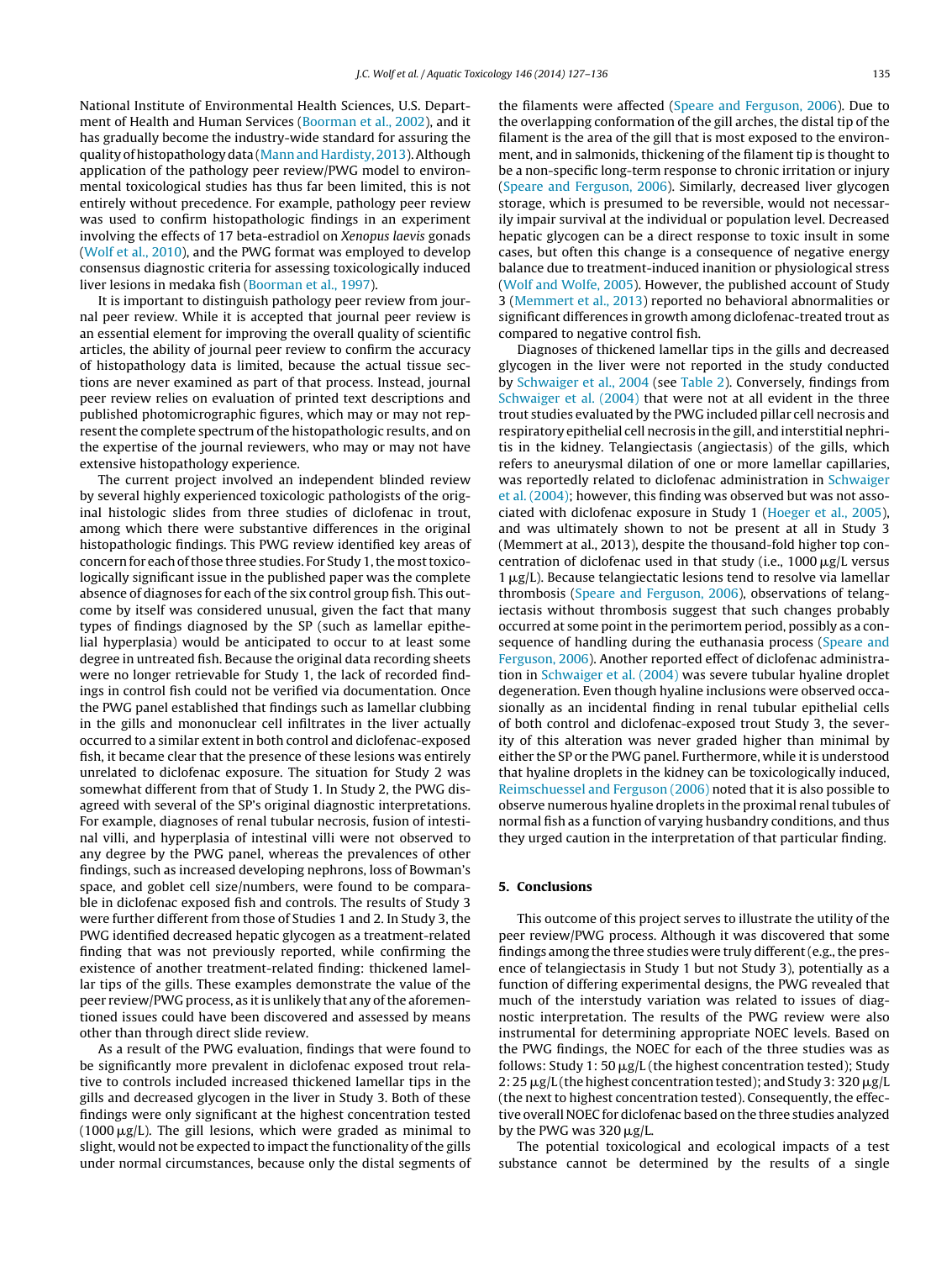National Institute of Environmental Health Sciences, U.S. Department of Health and Human Services [\(Boorman](#page-9-0) et [al.,](#page-9-0) [2002\),](#page-9-0) and it has gradually become the industry-wide standard for assuring the quality of histopathology data ([Mann](#page-9-0) [and](#page-9-0) [Hardisty,](#page-9-0) [2013\).](#page-9-0)Although application of the pathology peer review/PWG model to environmental toxicological studies has thus far been limited, this is not entirely without precedence. For example, pathology peer review was used to confirm histopathologic findings in an experiment involving the effects of 17 beta-estradiol on Xenopus laevis gonads ([Wolf](#page-9-0) et [al.,](#page-9-0) [2010\),](#page-9-0) and the PWG format was employed to develop consensus diagnostic criteria for assessing toxicologically induced liver lesions in medaka fish [\(Boorman](#page-9-0) et [al.,](#page-9-0) [1997\).](#page-9-0)

It is important to distinguish pathology peer review from journal peer review. While it is accepted that journal peer review is an essential element for improving the overall quality of scientific articles, the ability of journal peer review to confirm the accuracy of histopathology data is limited, because the actual tissue sections are never examined as part of that process. Instead, journal peer review relies on evaluation of printed text descriptions and published photomicrographic figures, which may or may not represent the complete spectrum of the histopathologic results, and on the expertise of the journal reviewers, who may or may not have extensive histopathology experience.

The current project involved an independent blinded review by several highly experienced toxicologic pathologists of the original histologic slides from three studies of diclofenac in trout, among which there were substantive differences in the original histopathologic findings. This PWG review identified key areas of concern for each of those three studies. For Study 1, the most toxicologically significant issue in the published paper was the complete absence of diagnoses for each of the six control group fish. This outcome by itself was considered unusual, given the fact that many types of findings diagnosed by the SP (such as lamellar epithelial hyperplasia) would be anticipated to occur to at least some degree in untreated fish. Because the original data recording sheets were no longer retrievable for Study 1, the lack of recorded findings in control fish could not be verified via documentation. Once the PWG panel established that findings such as lamellar clubbing in the gills and mononuclear cell infiltrates in the liver actually occurred to a similar extent in both control and diclofenac-exposed fish, it became clear that the presence of these lesions was entirely unrelated to diclofenac exposure. The situation for Study 2 was somewhat different from that of Study 1. In Study 2, the PWG disagreed with several of the SP's original diagnostic interpretations. For example, diagnoses of renal tubular necrosis, fusion of intestinal villi, and hyperplasia of intestinal villi were not observed to any degree by the PWG panel, whereas the prevalences of other findings, such as increased developing nephrons, loss of Bowman's space, and goblet cell size/numbers, were found to be comparable in diclofenac exposed fish and controls. The results of Study 3 were further different from those of Studies 1 and 2. In Study 3, the PWG identified decreased hepatic glycogen as a treatment-related finding that was not previously reported, while confirming the existence of another treatment-related finding: thickened lamellar tips of the gills. These examples demonstrate the value of the peer review/PWG process, as it is unlikely that any of the aforementioned issues could have been discovered and assessed by means other than through direct slide review.

As a result of the PWG evaluation, findings that were found to be significantly more prevalent in diclofenac exposed trout relative to controls included increased thickened lamellar tips in the gills and decreased glycogen in the liver in Study 3. Both of these findings were only significant at the highest concentration tested (1000  $\mu$ g/L). The gill lesions, which were graded as minimal to slight, would not be expected to impact the functionality of the gills under normal circumstances, because only the distal segments of the filaments were affected [\(Speare](#page-9-0) [and](#page-9-0) [Ferguson,](#page-9-0) [2006\).](#page-9-0) Due to the overlapping conformation of the gill arches, the distal tip of the filament is the area of the gill that is most exposed to the environment, and in salmonids, thickening of the filament tip is thought to be a non-specific long-term response to chronic irritation or injury [\(Speare](#page-9-0) [and](#page-9-0) [Ferguson,](#page-9-0) [2006\).](#page-9-0) Similarly, decreased liver glycogen storage, which is presumed to be reversible, would not necessarily impair survival at the individual or population level. Decreased hepatic glycogen can be a direct response to toxic insult in some cases, but often this change is a consequence of negative energy balance due to treatment-induced inanition or physiological stress [\(Wolf](#page-9-0) [and](#page-9-0) [Wolfe,](#page-9-0) [2005\).](#page-9-0) However, the published account of Study 3 [\(Memmert](#page-9-0) et [al.,](#page-9-0) [2013\)](#page-9-0) reported no behavioral abnormalities or significant differences in growth among diclofenac-treated trout as compared to negative control fish.

Diagnoses of thickened lamellar tips in the gills and decreased glycogen in the liver were not reported in the study conducted by [Schwaiger](#page-9-0) et [al.,](#page-9-0) [2004](#page-9-0) (see [Table](#page-2-0) 2). Conversely, findings from [Schwaiger](#page-9-0) et [al.](#page-9-0) [\(2004\)](#page-9-0) that were not at all evident in the three trout studies evaluated by the PWG included pillar cell necrosis and respiratory epithelial cell necrosis in the gill, and interstitial nephritis in the kidney. Telangiectasis (angiectasis) of the gills, which refers to aneurysmal dilation of one or more lamellar capillaries, was reportedly related to diclofenac administration in [Schwaiger](#page-9-0) et [al.](#page-9-0) [\(2004\);](#page-9-0) however, this finding was observed but was not associated with diclofenac exposure in Study 1 [\(Hoeger](#page-9-0) et [al.,](#page-9-0) [2005\),](#page-9-0) and was ultimately shown to not be present at all in Study 3 (Memmert at al., 2013), despite the thousand-fold higher top concentration of diclofenac used in that study (i.e.,  $1000 \mu g/L$  versus  $1 \mu$ g/L). Because telangiectatic lesions tend to resolve via lamellar thrombosis ([Speare](#page-9-0) [and](#page-9-0) [Ferguson,](#page-9-0) [2006\),](#page-9-0) observations of telangiectasis without thrombosis suggest that such changes probably occurred at some point in the perimortem period, possibly as a consequence of handling during the euthanasia process ([Speare](#page-9-0) [and](#page-9-0) [Ferguson,](#page-9-0) [2006\).](#page-9-0) Another reported effect of diclofenac administration in [Schwaiger](#page-9-0) et [al.](#page-9-0) [\(2004\)](#page-9-0) was severe tubular hyaline droplet degeneration. Even though hyaline inclusions were observed occasionally as an incidental finding in renal tubular epithelial cells of both control and diclofenac-exposed trout Study 3, the severity of this alteration was never graded higher than minimal by either the SP or the PWG panel. Furthermore, while it is understood that hyaline droplets in the kidney can be toxicologically induced, [Reimschuessel](#page-9-0) [and](#page-9-0) [Ferguson](#page-9-0) [\(2006\)](#page-9-0) noted that it is also possible to observe numerous hyaline droplets in the proximal renal tubules of normal fish as a function of varying husbandry conditions, and thus they urged caution in the interpretation of that particular finding.

## **5. Conclusions**

This outcome of this project serves to illustrate the utility of the peer review/PWG process. Although it was discovered that some findings among the three studies were truly different (e.g., the presence of telangiectasis in Study 1 but not Study 3), potentially as a function of differing experimental designs, the PWG revealed that much of the interstudy variation was related to issues of diagnostic interpretation. The results of the PWG review were also instrumental for determining appropriate NOEC levels. Based on the PWG findings, the NOEC for each of the three studies was as follows: Study 1:  $50 \mu g/L$  (the highest concentration tested); Study 2: 25  $\mu$ g/L (the highest concentration tested); and Study 3: 320  $\mu$ g/L (the next to highest concentration tested). Consequently, the effective overall NOEC for diclofenac based on the three studies analyzed by the PWG was  $320 \mu g/L$ .

The potential toxicological and ecological impacts of a test substance cannot be determined by the results of a single